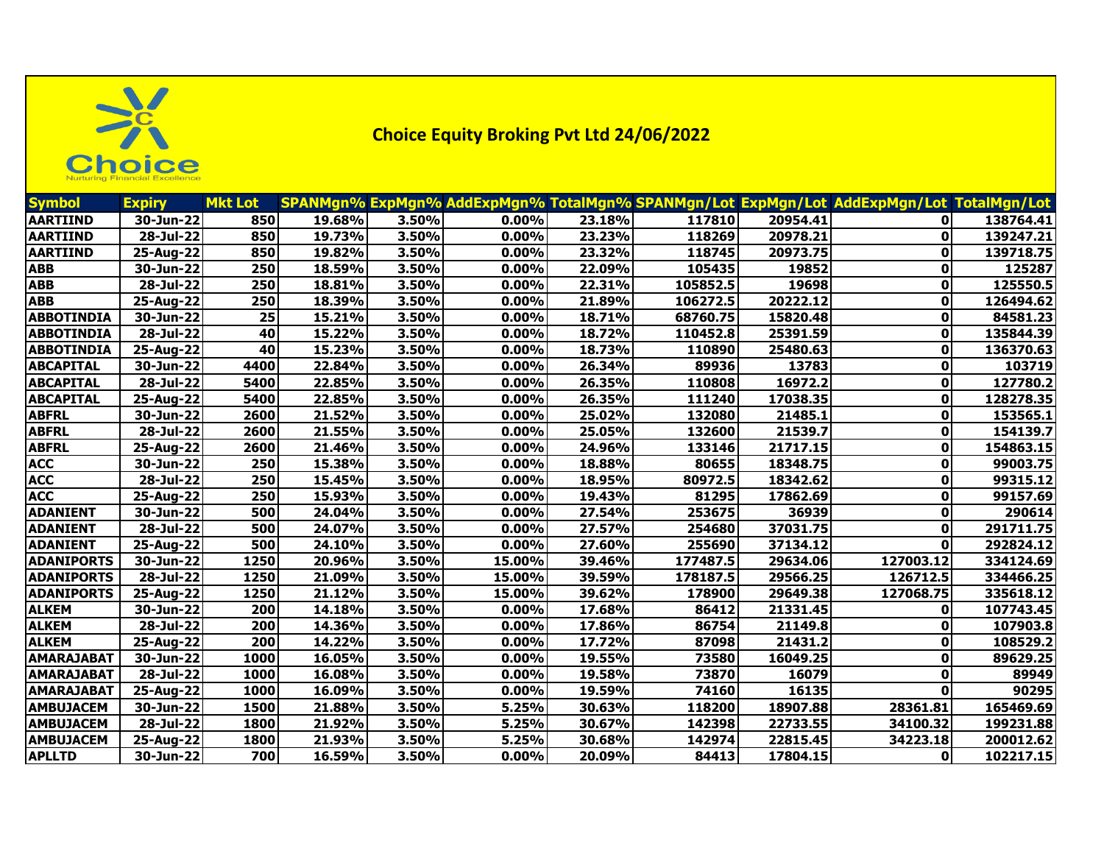

**Choice Equity Broking Pvt Ltd 24/06/2022**

| <b>Symbol</b>     | <b>Expiry</b>           | <b>Mkt Lot</b>   |        |       |          |        |          |                      | SPANMgn% ExpMgn% AddExpMgn% TotalMgn% SPANMgn/Lot ExpMgn/Lot AddExpMgn/Lot TotalMgn/Lot |           |
|-------------------|-------------------------|------------------|--------|-------|----------|--------|----------|----------------------|-----------------------------------------------------------------------------------------|-----------|
| <b>AARTIIND</b>   | 30-Jun-22               | 850              | 19.68% | 3.50% | 0.00%    | 23.18% | 117810   | 20954.41             |                                                                                         | 138764.41 |
| <b>AARTIIND</b>   | 28-Jul-22               | 850              | 19.73% | 3.50% | 0.00%    | 23.23% | 118269   | 20978.21             | $\mathbf{0}$                                                                            | 139247.21 |
| <b>AARTIIND</b>   | 25-Aug-22               | 850              | 19.82% | 3.50% | 0.00%    | 23.32% | 118745   | 20973.75             | 0                                                                                       | 139718.75 |
| ABB               | 30-Jun-22               | 250              | 18.59% | 3.50% | 0.00%    | 22.09% | 105435   | 19852                | 0                                                                                       | 125287    |
| <b>ABB</b>        | 28-Jul-22               | 250              | 18.81% | 3.50% | 0.00%    | 22.31% | 105852.5 | 19698                | 0                                                                                       | 125550.5  |
| ABB               | 25-Aug-22               | 250              | 18.39% | 3.50% | 0.00%    | 21.89% | 106272.5 | 20222.12             | 0                                                                                       | 126494.62 |
| <b>ABBOTINDIA</b> | 30-Jun-22               | 25               | 15.21% | 3.50% | 0.00%    | 18.71% | 68760.75 | 15820.48             | 0                                                                                       | 84581.23  |
| <b>ABBOTINDIA</b> | 28-Jul-22               | 40               | 15.22% | 3.50% | 0.00%    | 18.72% | 110452.8 | 25391.59             | 0                                                                                       | 135844.39 |
| <b>ABBOTINDIA</b> | 25-Aug-22               | 40               | 15.23% | 3.50% | $0.00\%$ | 18.73% | 110890   | 25480.63             | 0                                                                                       | 136370.63 |
| ABCAPITAL         | 30-Jun-22               | 4400             | 22.84% | 3.50% | 0.00%    | 26.34% | 89936    | 13783                | 0                                                                                       | 103719    |
| <b>ABCAPITAL</b>  | 28-Jul-22               | 5400             | 22.85% | 3.50% | $0.00\%$ | 26.35% | 110808   | 16972.2              | 0                                                                                       | 127780.2  |
| <b>ABCAPITAL</b>  | 25-Aug-22               | 5400             | 22.85% | 3.50% | 0.00%    | 26.35% | 111240   | 17038.35             | 0                                                                                       | 128278.35 |
| <b>ABFRL</b>      | 30-Jun-22               | 2600             | 21.52% | 3.50% | $0.00\%$ | 25.02% | 132080   | 21485.1              | 0                                                                                       | 153565.1  |
| ABFRL             | 28-Jul-22               | 2600             | 21.55% | 3.50% | 0.00%    | 25.05% | 132600   | 21539.7              | 0                                                                                       | 154139.7  |
| <b>ABFRL</b>      | 25-Aug-22               | 2600             | 21.46% | 3.50% | 0.00%    | 24.96% | 133146   | 21717.15             | 0                                                                                       | 154863.15 |
| <b>ACC</b>        | 30-Jun-22               | 250              | 15.38% | 3.50% | 0.00%    | 18.88% | 80655    | 18348.75             | 0                                                                                       | 99003.75  |
| ACC               | 28-Jul-22               | 250              | 15.45% | 3.50% | 0.00%    | 18.95% | 80972.5  | 18342.62             | 0                                                                                       | 99315.12  |
| ACC               | 25-Aug-22               | 250              | 15.93% | 3.50% | 0.00%    | 19.43% | 81295    | 17862.69             | 0                                                                                       | 99157.69  |
| <b>ADANIENT</b>   | 30-Jun-22               | 500              | 24.04% | 3.50% | 0.00%    | 27.54% | 253675   | 36939                | 0                                                                                       | 290614    |
| <b>ADANIENT</b>   | 28-Jul-22               | 500              | 24.07% | 3.50% | 0.00%    | 27.57% | 254680   | 37031.75             | 0                                                                                       | 291711.75 |
| <b>ADANIENT</b>   | 25-Aug-22               | 500              | 24.10% | 3.50% | 0.00%    | 27.60% | 255690   | 37134.12             | 0                                                                                       | 292824.12 |
| <b>ADANIPORTS</b> | 30-Jun-22               | 1250             | 20.96% | 3.50% | 15.00%   | 39.46% | 177487.5 | 29634.06             | 127003.12                                                                               | 334124.69 |
| <b>ADANIPORTS</b> | 28-Jul-22               | 1250             | 21.09% | 3.50% | 15.00%   | 39.59% | 178187.5 | 29566.25             | 126712.5                                                                                | 334466.25 |
| <b>ADANIPORTS</b> | 25-Aug-22               | 1250             | 21.12% | 3.50% | 15.00%   | 39.62% | 178900   | 29649.38             | 127068.75                                                                               | 335618.12 |
| <b>ALKEM</b>      | 30-Jun-22               | 200              | 14.18% | 3.50% | 0.00%    | 17.68% | 86412    | 21331.45             | $\mathbf{0}$                                                                            | 107743.45 |
| <b>ALKEM</b>      | $\overline{28}$ -Jul-22 | 200              | 14.36% | 3.50% | 0.00%    | 17.86% | 86754    | $\overline{21149.8}$ | 0                                                                                       | 107903.8  |
| <b>ALKEM</b>      | 25-Aug-22               | $\overline{200}$ | 14.22% | 3.50% | 0.00%    | 17.72% | 87098    | 21431.2              | 0                                                                                       | 108529.2  |
| <b>AMARAJABAT</b> | 30-Jun-22               | 1000             | 16.05% | 3.50% | 0.00%    | 19.55% | 73580    | 16049.25             | 0                                                                                       | 89629.25  |
| AMARAJABAT        | 28-Jul-22               | 1000             | 16.08% | 3.50% | 0.00%    | 19.58% | 73870    | 16079                | 0                                                                                       | 89949     |
| <b>AMARAJABAT</b> | 25-Aug-22               | 1000             | 16.09% | 3.50% | 0.00%    | 19.59% | 74160    | 16135                | $\mathbf{0}$                                                                            | 90295     |
| <b>AMBUJACEM</b>  | 30-Jun-22               | 1500             | 21.88% | 3.50% | 5.25%    | 30.63% | 118200   | 18907.88             | 28361.81                                                                                | 165469.69 |
| <b>AMBUJACEM</b>  | 28-Jul-22               | 1800             | 21.92% | 3.50% | 5.25%    | 30.67% | 142398   | 22733.55             | 34100.32                                                                                | 199231.88 |
| AMBUJACEM         | 25-Aug-22               | 1800             | 21.93% | 3.50% | 5.25%    | 30.68% | 142974   | 22815.45             | 34223.18                                                                                | 200012.62 |
| <b>APLLTD</b>     | 30-Jun-22               | 700              | 16.59% | 3.50% | $0.00\%$ | 20.09% | 84413    | 17804.15             | Οl                                                                                      | 102217.15 |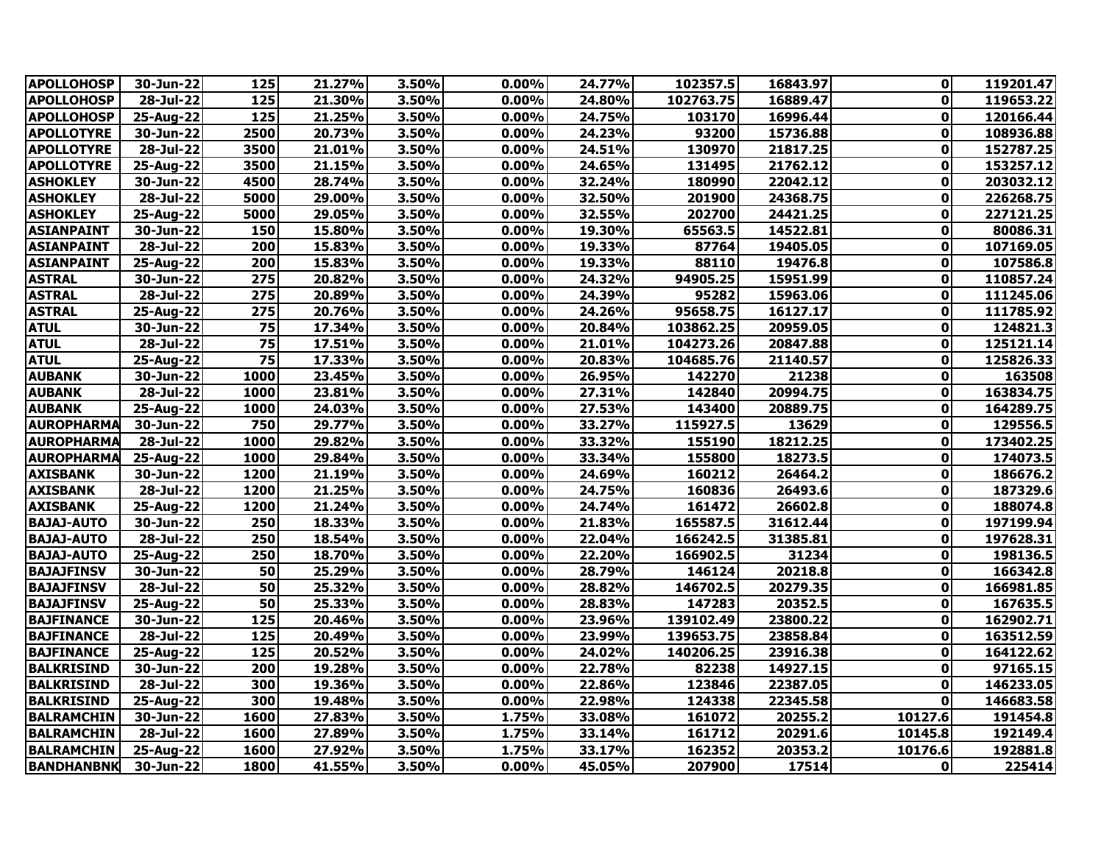| <b>APOLLOHOSP</b> | 30-Jun-22               | 125               | 21.27% | 3.50% | 0.00%    | 24.77% | 102357.5  | 16843.97 | 0            | 119201.47 |
|-------------------|-------------------------|-------------------|--------|-------|----------|--------|-----------|----------|--------------|-----------|
| <b>APOLLOHOSP</b> | $28 -$ Jul-22           | $\frac{125}{125}$ | 21.30% | 3.50% | 0.00%    | 24.80% | 102763.75 | 16889.47 | $\mathbf{0}$ | 119653.22 |
| <b>APOLLOHOSP</b> | $25$ -Aug-22            | $\frac{125}{125}$ | 21.25% | 3.50% | 0.00%    | 24.75% | 103170    | 16996.44 | $\mathbf{0}$ | 120166.44 |
| <b>APOLLOTYRE</b> | 30-Jun-22               | 2500              | 20.73% | 3.50% | 0.00%    | 24.23% | 93200     | 15736.88 | $\mathbf{0}$ | 108936.88 |
| <b>APOLLOTYRE</b> | 28-Jul-22               | 3500              | 21.01% | 3.50% | 0.00%    | 24.51% | 130970    | 21817.25 | $\mathbf{0}$ | 152787.25 |
| <b>APOLLOTYRE</b> | 25-Aug-22               | 3500              | 21.15% | 3.50% | 0.00%    | 24.65% | 131495    | 21762.12 | $\mathbf{0}$ | 153257.12 |
| <b>ASHOKLEY</b>   | 30-Jun-22               | 4500              | 28.74% | 3.50% | $0.00\%$ | 32.24% | 180990    | 22042.12 | $\mathbf{0}$ | 203032.12 |
| <b>ASHOKLEY</b>   | 28-Jul-22               | 5000              | 29.00% | 3.50% | 0.00%    | 32.50% | 201900    | 24368.75 | $\mathbf{0}$ | 226268.75 |
| <b>ASHOKLEY</b>   | 25-Aug-22               | 5000              | 29.05% | 3.50% | 0.00%    | 32.55% | 202700    | 24421.25 | 0            | 227121.25 |
| <b>ASIANPAINT</b> | 30-Jun-22               | 150               | 15.80% | 3.50% | 0.00%    | 19.30% | 65563.5   | 14522.81 | $\mathbf 0$  | 80086.31  |
| <b>ASIANPAINT</b> | 28-Jul-22               | 200               | 15.83% | 3.50% | $0.00\%$ | 19.33% | 87764     | 19405.05 | $\mathbf{0}$ | 107169.05 |
| <b>ASIANPAINT</b> | 25-Aug-22               | 200               | 15.83% | 3.50% | 0.00%    | 19.33% | 88110     | 19476.8  | 0            | 107586.8  |
| <b>ASTRAL</b>     | 30-Jun-22               | 275               | 20.82% | 3.50% | 0.00%    | 24.32% | 94905.25  | 15951.99 | 0            | 110857.24 |
| <b>ASTRAL</b>     | 28-Jul-22               | 275               | 20.89% | 3.50% | 0.00%    | 24.39% | 95282     | 15963.06 | $\mathbf{0}$ | 111245.06 |
| <b>ASTRAL</b>     | 25-Aug-22               | 275               | 20.76% | 3.50% | 0.00%    | 24.26% | 95658.75  | 16127.17 | $\mathbf{0}$ | 111785.92 |
| <b>ATUL</b>       | 30-Jun-22               | $\overline{75}$   | 17.34% | 3.50% | $0.00\%$ | 20.84% | 103862.25 | 20959.05 | $\mathbf{0}$ | 124821.3  |
| <b>ATUL</b>       | 28-Jul-22               | $\overline{75}$   | 17.51% | 3.50% | 0.00%    | 21.01% | 104273.26 | 20847.88 | $\mathbf{0}$ | 125121.14 |
| <b>ATUL</b>       | $25$ -Aug-22            | $\overline{75}$   | 17.33% | 3.50% | 0.00%    | 20.83% | 104685.76 | 21140.57 | $\mathbf{0}$ | 125826.33 |
| <b>AUBANK</b>     | 30-Jun-22               | 1000              | 23.45% | 3.50% | 0.00%    | 26.95% | 142270    | 21238    | $\mathbf{0}$ | 163508    |
| <b>AUBANK</b>     | 28-Jul-22               | 1000              | 23.81% | 3.50% | 0.00%    | 27.31% | 142840    | 20994.75 | $\mathbf{0}$ | 163834.75 |
| <b>AUBANK</b>     | $25$ -Aug-22            | 1000              | 24.03% | 3.50% | 0.00%    | 27.53% | 143400    | 20889.75 | $\mathbf{0}$ | 164289.75 |
| <b>AUROPHARMA</b> | 30-Jun-22               | 750               | 29.77% | 3.50% | 0.00%    | 33.27% | 115927.5  | 13629    | $\mathbf{0}$ | 129556.5  |
| <b>AUROPHARMA</b> | 28-Jul-22               | 1000              | 29.82% | 3.50% | $0.00\%$ | 33.32% | 155190    | 18212.25 | $\mathbf{0}$ | 173402.25 |
| <b>AUROPHARMA</b> | 25-Aug-22               | 1000              | 29.84% | 3.50% | 0.00%    | 33.34% | 155800    | 18273.5  | 0            | 174073.5  |
| <b>AXISBANK</b>   | 30-Jun-22               | 1200              | 21.19% | 3.50% | 0.00%    | 24.69% | 160212    | 26464.2  | $\mathbf{0}$ | 186676.2  |
| <b>AXISBANK</b>   | $\overline{28}$ -Jul-22 | 1200              | 21.25% | 3.50% | $0.00\%$ | 24.75% | 160836    | 26493.6  | 0            | 187329.6  |
| <b>AXISBANK</b>   | $25$ -Aug-22            | 1200              | 21.24% | 3.50% | 0.00%    | 24.74% | 161472    | 26602.8  | 0            | 188074.8  |
| <b>BAJAJ-AUTO</b> | 30-Jun-22               | 250               | 18.33% | 3.50% | 0.00%    | 21.83% | 165587.5  | 31612.44 | 0            | 197199.94 |
| <b>BAJAJ-AUTO</b> | 28-Jul-22               | 250               | 18.54% | 3.50% | 0.00%    | 22.04% | 166242.5  | 31385.81 | $\mathbf{0}$ | 197628.31 |
| <b>BAJAJ-AUTO</b> | 25-Aug-22               | 250               | 18.70% | 3.50% | 0.00%    | 22.20% | 166902.5  | 31234    | $\mathbf{0}$ | 198136.5  |
| <b>BAJAJFINSV</b> | 30-Jun-22               | 50                | 25.29% | 3.50% | 0.00%    | 28.79% | 146124    | 20218.8  | $\mathbf 0$  | 166342.8  |
| <b>BAJAJFINSV</b> | 28-Jul-22               | 50                | 25.32% | 3.50% | 0.00%    | 28.82% | 146702.5  | 20279.35 | $\mathbf{0}$ | 166981.85 |
| <b>BAJAJFINSV</b> | 25-Aug-22               | 50                | 25.33% | 3.50% | 0.00%    | 28.83% | 147283    | 20352.5  | $\mathbf{0}$ | 167635.5  |
| <b>BAJFINANCE</b> | 30-Jun-22               | 125               | 20.46% | 3.50% | 0.00%    | 23.96% | 139102.49 | 23800.22 | $\mathbf{0}$ | 162902.71 |
| <b>BAJFINANCE</b> | 28-Jul-22               | 125               | 20.49% | 3.50% | 0.00%    | 23.99% | 139653.75 | 23858.84 | $\mathbf{0}$ | 163512.59 |
| <b>BAJFINANCE</b> | 25-Aug-22               | 125               | 20.52% | 3.50% | 0.00%    | 24.02% | 140206.25 | 23916.38 | $\mathbf{0}$ | 164122.62 |
| <b>BALKRISIND</b> | 30-Jun-22               | 200               | 19.28% | 3.50% | 0.00%    | 22.78% | 82238     | 14927.15 | $\mathbf{0}$ | 97165.15  |
| <b>BALKRISIND</b> | 28-Jul-22               | 300               | 19.36% | 3.50% | $0.00\%$ | 22.86% | 123846    | 22387.05 | $\mathbf{0}$ | 146233.05 |
| <b>BALKRISIND</b> | 25-Aug-22               | 300               | 19.48% | 3.50% | 0.00%    | 22.98% | 124338    | 22345.58 | $\mathbf 0$  | 146683.58 |
| <b>BALRAMCHIN</b> | 30-Jun-22               | 1600              | 27.83% | 3.50% | 1.75%    | 33.08% | 161072    | 20255.2  | 10127.6      | 191454.8  |
| <b>BALRAMCHIN</b> | 28-Jul-22               | 1600              | 27.89% | 3.50% | 1.75%    | 33.14% | 161712    | 20291.6  | 10145.8      | 192149.4  |
| <b>BALRAMCHIN</b> | 25-Aug-22               | 1600              | 27.92% | 3.50% | 1.75%    | 33.17% | 162352    | 20353.2  | 10176.6      | 192881.8  |
| <b>BANDHANBNK</b> | 30-Jun-22               | 1800              | 41.55% | 3.50% | 0.00%    | 45.05% | 207900    | 17514    | $\mathbf{0}$ | 225414    |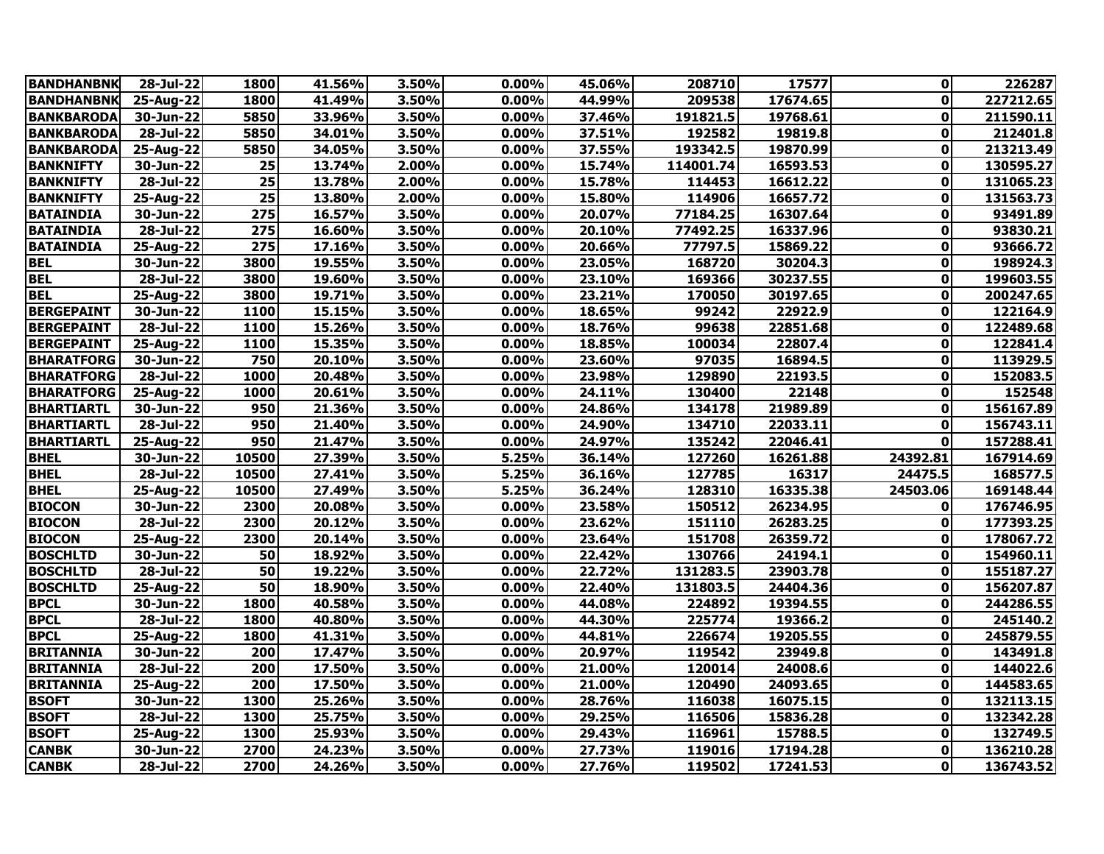| <b>BANDHANBNK</b> | 28-Jul-22                | 1800  | 41.56% | 3.50% | 0.00%    | 45.06% | 208710    | 17577    | $\mathbf{0}$ | 226287    |
|-------------------|--------------------------|-------|--------|-------|----------|--------|-----------|----------|--------------|-----------|
| <b>BANDHANBNK</b> | 25-Aug-22                | 1800  | 41.49% | 3.50% | 0.00%    | 44.99% | 209538    | 17674.65 | $\mathbf{0}$ | 227212.65 |
| <b>BANKBARODA</b> | 30-Jun-22                | 5850  | 33.96% | 3.50% | 0.00%    | 37.46% | 191821.5  | 19768.61 | $\mathbf{0}$ | 211590.11 |
| <b>BANKBARODA</b> | 28-Jul-22                | 5850  | 34.01% | 3.50% | 0.00%    | 37.51% | 192582    | 19819.8  | 0            | 212401.8  |
| <b>BANKBARODA</b> | 25-Aug-22                | 5850  | 34.05% | 3.50% | 0.00%    | 37.55% | 193342.5  | 19870.99 | 0            | 213213.49 |
| <b>BANKNIFTY</b>  | 30-Jun-22                | 25    | 13.74% | 2.00% | 0.00%    | 15.74% | 114001.74 | 16593.53 | $\mathbf{0}$ | 130595.27 |
| <b>BANKNIFTY</b>  | 28-Jul-22                | 25    | 13.78% | 2.00% | 0.00%    | 15.78% | 114453    | 16612.22 | $\mathbf{0}$ | 131065.23 |
| <b>BANKNIFTY</b>  | 25-Aug-22                | 25    | 13.80% | 2.00% | 0.00%    | 15.80% | 114906    | 16657.72 | $\mathbf{0}$ | 131563.73 |
| <b>BATAINDIA</b>  | 30-Jun-22                | 275   | 16.57% | 3.50% | 0.00%    | 20.07% | 77184.25  | 16307.64 | $\mathbf 0$  | 93491.89  |
| <b>BATAINDIA</b>  | 28-Jul-22                | 275   | 16.60% | 3.50% | 0.00%    | 20.10% | 77492.25  | 16337.96 | 0            | 93830.21  |
| <b>BATAINDIA</b>  | 25-Aug-22                | 275   | 17.16% | 3.50% | 0.00%    | 20.66% | 77797.5   | 15869.22 | 0            | 93666.72  |
| <b>BEL</b>        | 30-Jun-22                | 3800  | 19.55% | 3.50% | 0.00%    | 23.05% | 168720    | 30204.3  | 0            | 198924.3  |
| <b>BEL</b>        | 28-Jul-22                | 3800  | 19.60% | 3.50% | 0.00%    | 23.10% | 169366    | 30237.55 | 0            | 199603.55 |
| <b>BEL</b>        | 25-Aug-22                | 3800  | 19.71% | 3.50% | 0.00%    | 23.21% | 170050    | 30197.65 | $\mathbf{0}$ | 200247.65 |
| <b>BERGEPAINT</b> | 30-Jun-22                | 1100  | 15.15% | 3.50% | 0.00%    | 18.65% | 99242     | 22922.9  | $\mathbf 0$  | 122164.9  |
| <b>BERGEPAINT</b> | 28-Jul-22                | 1100  | 15.26% | 3.50% | $0.00\%$ | 18.76% | 99638     | 22851.68 | $\mathbf{0}$ | 122489.68 |
| <b>BERGEPAINT</b> | 25-Aug-22                | 1100  | 15.35% | 3.50% | 0.00%    | 18.85% | 100034    | 22807.4  | $\mathbf{0}$ | 122841.4  |
| <b>BHARATFORG</b> | 30-Jun-22                | 750   | 20.10% | 3.50% | 0.00%    | 23.60% | 97035     | 16894.5  | $\mathbf{0}$ | 113929.5  |
| <b>BHARATFORG</b> | 28-Jul-22                | 1000  | 20.48% | 3.50% | 0.00%    | 23.98% | 129890    | 22193.5  | 0            | 152083.5  |
| <b>BHARATFORG</b> | 25-Aug-22                | 1000  | 20.61% | 3.50% | 0.00%    | 24.11% | 130400    | 22148    | 0            | 152548    |
| <b>BHARTIARTL</b> | 30-Jun-22                | 950   | 21.36% | 3.50% | 0.00%    | 24.86% | 134178    | 21989.89 | $\mathbf{0}$ | 156167.89 |
| <b>BHARTIARTL</b> | $\overline{28}$ -Jul-22  | 950   | 21.40% | 3.50% | 0.00%    | 24.90% | 134710    | 22033.11 | $\mathbf{0}$ | 156743.11 |
| <b>BHARTIARTL</b> | 25-Aug-22                | 950   | 21.47% | 3.50% | 0.00%    | 24.97% | 135242    | 22046.41 | $\mathbf{0}$ | 157288.41 |
| <b>BHEL</b>       | 30-Jun-22                | 10500 | 27.39% | 3.50% | 5.25%    | 36.14% | 127260    | 16261.88 | 24392.81     | 167914.69 |
| <b>BHEL</b>       | $28 - \frac{1}{2}$ ul-22 | 10500 | 27.41% | 3.50% | 5.25%    | 36.16% | 127785    | 16317    | 24475.5      | 168577.5  |
| <b>BHEL</b>       | 25-Aug-22                | 10500 | 27.49% | 3.50% | 5.25%    | 36.24% | 128310    | 16335.38 | 24503.06     | 169148.44 |
| <b>BIOCON</b>     | 30-Jun-22                | 2300  | 20.08% | 3.50% | 0.00%    | 23.58% | 150512    | 26234.95 | $\mathbf{0}$ | 176746.95 |
| <b>BIOCON</b>     | 28-Jul-22                | 2300  | 20.12% | 3.50% | 0.00%    | 23.62% | 151110    | 26283.25 | 0            | 177393.25 |
| <b>BIOCON</b>     | 25-Aug-22                | 2300  | 20.14% | 3.50% | 0.00%    | 23.64% | 151708    | 26359.72 | $\mathbf{0}$ | 178067.72 |
| <b>BOSCHLTD</b>   | 30-Jun-22                | 50    | 18.92% | 3.50% | 0.00%    | 22.42% | 130766    | 24194.1  | $\mathbf{0}$ | 154960.11 |
| <b>BOSCHLTD</b>   | 28-Jul-22                | 50    | 19.22% | 3.50% | 0.00%    | 22.72% | 131283.5  | 23903.78 | $\mathbf{0}$ | 155187.27 |
| <b>BOSCHLTD</b>   | 25-Aug-22                | 50    | 18.90% | 3.50% | 0.00%    | 22.40% | 131803.5  | 24404.36 | $\mathbf{0}$ | 156207.87 |
| <b>BPCL</b>       | 30-Jun-22                | 1800  | 40.58% | 3.50% | 0.00%    | 44.08% | 224892    | 19394.55 | $\mathbf{0}$ | 244286.55 |
| <b>BPCL</b>       | 28-Jul-22                | 1800  | 40.80% | 3.50% | 0.00%    | 44.30% | 225774    | 19366.2  | $\mathbf 0$  | 245140.2  |
| <b>BPCL</b>       | 25-Aug-22                | 1800  | 41.31% | 3.50% | 0.00%    | 44.81% | 226674    | 19205.55 | 0            | 245879.55 |
| <b>BRITANNIA</b>  | $30 - Jun-22$            | 200   | 17.47% | 3.50% | 0.00%    | 20.97% | 119542    | 23949.8  | $\mathbf{0}$ | 143491.8  |
| <b>BRITANNIA</b>  | $\overline{28}$ -Jul-22  | 200   | 17.50% | 3.50% | 0.00%    | 21.00% | 120014    | 24008.6  | $\mathbf 0$  | 144022.6  |
| <b>BRITANNIA</b>  | 25-Aug-22                | 200   | 17.50% | 3.50% | 0.00%    | 21.00% | 120490    | 24093.65 | $\mathbf{0}$ | 144583.65 |
| <b>BSOFT</b>      | 30-Jun-22                | 1300  | 25.26% | 3.50% | 0.00%    | 28.76% | 116038    | 16075.15 | 0            | 132113.15 |
| <b>BSOFT</b>      | $28 -$ Jul-22            | 1300  | 25.75% | 3.50% | 0.00%    | 29.25% | 116506    | 15836.28 | $\mathbf{0}$ | 132342.28 |
| <b>BSOFT</b>      | 25-Aug-22                | 1300  | 25.93% | 3.50% | 0.00%    | 29.43% | 116961    | 15788.5  | $\mathbf{0}$ | 132749.5  |
| <b>CANBK</b>      | 30-Jun-22                | 2700  | 24.23% | 3.50% | 0.00%    | 27.73% | 119016    | 17194.28 | $\mathbf{0}$ | 136210.28 |
| <b>CANBK</b>      | 28-Jul-22                | 2700  | 24.26% | 3.50% | 0.00%    | 27.76% | 119502    | 17241.53 | $\mathbf{0}$ | 136743.52 |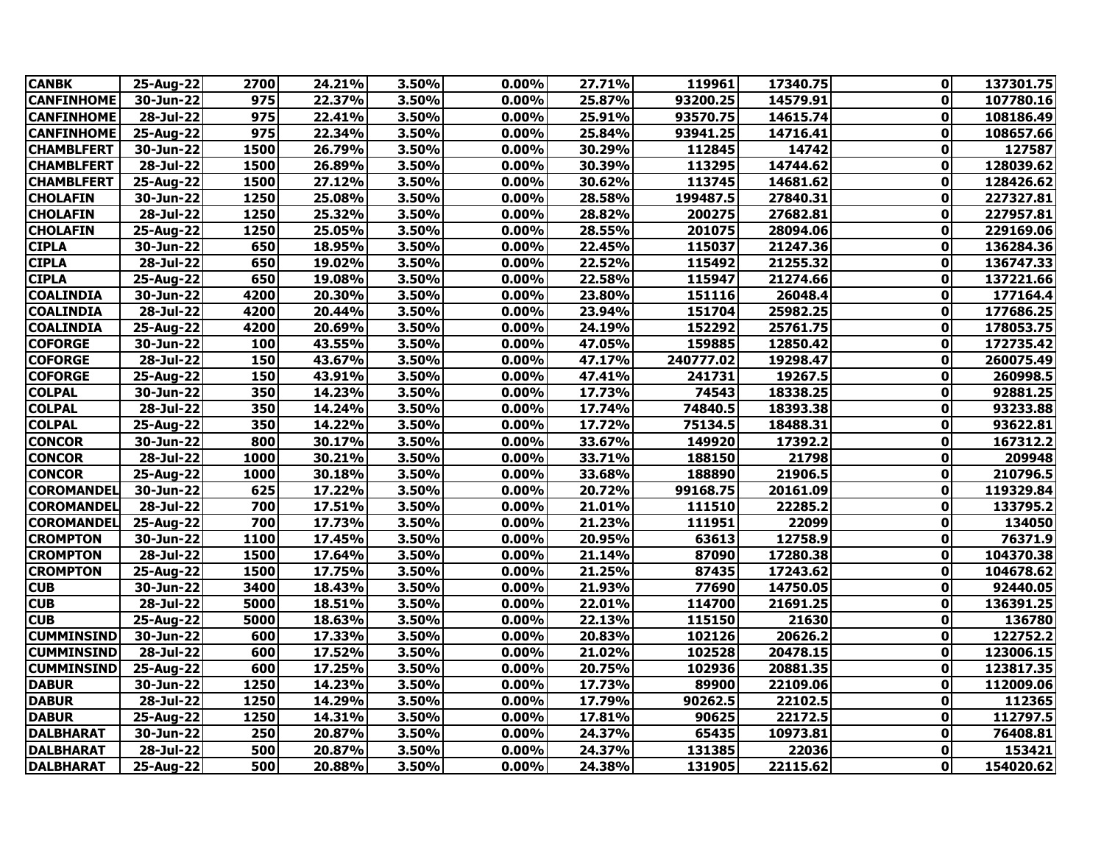| <b>CANBK</b>      | 25-Aug-22                 | 2700 | 24.21% | 3.50% | 0.00%    | 27.71% | 119961    | 17340.75 | ΟI           | 137301.75 |
|-------------------|---------------------------|------|--------|-------|----------|--------|-----------|----------|--------------|-----------|
| <b>CANFINHOME</b> | 30-Jun-22                 | 975  | 22.37% | 3.50% | 0.00%    | 25.87% | 93200.25  | 14579.91 | $\mathbf{0}$ | 107780.16 |
| <b>CANFINHOME</b> | $28 - \frac{1}{2}ul - 22$ | 975  | 22.41% | 3.50% | 0.00%    | 25.91% | 93570.75  | 14615.74 | $\mathbf{0}$ | 108186.49 |
| <b>CANFINHOME</b> | 25-Aug-22                 | 975  | 22.34% | 3.50% | 0.00%    | 25.84% | 93941.25  | 14716.41 | $\mathbf{0}$ | 108657.66 |
| <b>CHAMBLFERT</b> | 30-Jun-22                 | 1500 | 26.79% | 3.50% | $0.00\%$ | 30.29% | 112845    | 14742    | 0            | 127587    |
| <b>CHAMBLFERT</b> | $28 - Jul - 22$           | 1500 | 26.89% | 3.50% | 0.00%    | 30.39% | 113295    | 14744.62 | $\mathbf{0}$ | 128039.62 |
| <b>CHAMBLFERT</b> | 25-Aug-22                 | 1500 | 27.12% | 3.50% | 0.00%    | 30.62% | 113745    | 14681.62 | $\mathbf{0}$ | 128426.62 |
| <b>CHOLAFIN</b>   | 30-Jun-22                 | 1250 | 25.08% | 3.50% | 0.00%    | 28.58% | 199487.5  | 27840.31 | $\mathbf{0}$ | 227327.81 |
| <b>CHOLAFIN</b>   | 28-Jul-22                 | 1250 | 25.32% | 3.50% | 0.00%    | 28.82% | 200275    | 27682.81 | 0            | 227957.81 |
| <b>CHOLAFIN</b>   | 25-Aug-22                 | 1250 | 25.05% | 3.50% | 0.00%    | 28.55% | 201075    | 28094.06 | $\mathbf{0}$ | 229169.06 |
| <b>CIPLA</b>      | 30-Jun-22                 | 650  | 18.95% | 3.50% | 0.00%    | 22.45% | 115037    | 21247.36 | $\mathbf{0}$ | 136284.36 |
| <b>CIPLA</b>      | 28-Jul-22                 | 650  | 19.02% | 3.50% | 0.00%    | 22.52% | 115492    | 21255.32 | 0            | 136747.33 |
| <b>CIPLA</b>      | 25-Aug-22                 | 650  | 19.08% | 3.50% | 0.00%    | 22.58% | 115947    | 21274.66 | 0            | 137221.66 |
| <b>COALINDIA</b>  | 30-Jun-22                 | 4200 | 20.30% | 3.50% | 0.00%    | 23.80% | 151116    | 26048.4  | $\mathbf{0}$ | 177164.4  |
| <b>COALINDIA</b>  | 28-Jul-22                 | 4200 | 20.44% | 3.50% | 0.00%    | 23.94% | 151704    | 25982.25 | $\mathbf{0}$ | 177686.25 |
| <b>COALINDIA</b>  | 25-Aug-22                 | 4200 | 20.69% | 3.50% | 0.00%    | 24.19% | 152292    | 25761.75 | 0            | 178053.75 |
| <b>COFORGE</b>    | 30-Jun-22                 | 100  | 43.55% | 3.50% | 0.00%    | 47.05% | 159885    | 12850.42 | $\mathbf{0}$ | 172735.42 |
| <b>COFORGE</b>    | $28 - \frac{1}{2}$ ul-22  | 150  | 43.67% | 3.50% | 0.00%    | 47.17% | 240777.02 | 19298.47 | $\mathbf{0}$ | 260075.49 |
| <b>COFORGE</b>    | 25-Aug-22                 | 150  | 43.91% | 3.50% | 0.00%    | 47.41% | 241731    | 19267.5  | 0            | 260998.5  |
| <b>COLPAL</b>     | 30-Jun-22                 | 350  | 14.23% | 3.50% | 0.00%    | 17.73% | 74543     | 18338.25 | 0            | 92881.25  |
| <b>COLPAL</b>     | $28 - \frac{1}{2}ul - 22$ | 350  | 14.24% | 3.50% | $0.00\%$ | 17.74% | 74840.5   | 18393.38 | 0            | 93233.88  |
| <b>COLPAL</b>     | 25-Aug-22                 | 350  | 14.22% | 3.50% | 0.00%    | 17.72% | 75134.5   | 18488.31 | 0            | 93622.81  |
| <b>CONCOR</b>     | 30-Jun-22                 | 800  | 30.17% | 3.50% | 0.00%    | 33.67% | 149920    | 17392.2  | 0            | 167312.2  |
| <b>CONCOR</b>     | $28 - \frac{1}{2}$ ul-22  | 1000 | 30.21% | 3.50% | 0.00%    | 33.71% | 188150    | 21798    | $\mathbf 0$  | 209948    |
| <b>CONCOR</b>     | 25-Aug-22                 | 1000 | 30.18% | 3.50% | 0.00%    | 33.68% | 188890    | 21906.5  | $\mathbf{0}$ | 210796.5  |
| <b>COROMANDEL</b> | 30-Jun-22                 | 625  | 17.22% | 3.50% | $0.00\%$ | 20.72% | 99168.75  | 20161.09 | 0            | 119329.84 |
| <b>COROMANDEL</b> | 28-Jul-22                 | 700  | 17.51% | 3.50% | 0.00%    | 21.01% | 111510    | 22285.2  | $\mathbf 0$  | 133795.2  |
| <b>COROMANDEL</b> | 25-Aug-22                 | 700  | 17.73% | 3.50% | 0.00%    | 21.23% | 111951    | 22099    | 0            | 134050    |
| <b>CROMPTON</b>   | $30 - Jun-22$             | 1100 | 17.45% | 3.50% | 0.00%    | 20.95% | 63613     | 12758.9  | $\mathbf{0}$ | 76371.9   |
| <b>CROMPTON</b>   | 28-Jul-22                 | 1500 | 17.64% | 3.50% | 0.00%    | 21.14% | 87090     | 17280.38 | $\mathbf{0}$ | 104370.38 |
| <b>CROMPTON</b>   | 25-Aug-22                 | 1500 | 17.75% | 3.50% | 0.00%    | 21.25% | 87435     | 17243.62 | 0            | 104678.62 |
| <b>CUB</b>        | 30-Jun-22                 | 3400 | 18.43% | 3.50% | 0.00%    | 21.93% | 77690     | 14750.05 | 0            | 92440.05  |
| <b>CUB</b>        | $28 -$ Jul-22             | 5000 | 18.51% | 3.50% | 0.00%    | 22.01% | 114700    | 21691.25 | $\mathbf{0}$ | 136391.25 |
| <b>CUB</b>        | 25-Aug-22                 | 5000 | 18.63% | 3.50% | 0.00%    | 22.13% | 115150    | 21630    | 0            | 136780    |
| <b>CUMMINSIND</b> | 30-Jun-22                 | 600  | 17.33% | 3.50% | 0.00%    | 20.83% | 102126    | 20626.2  | 0            | 122752.2  |
| <b>CUMMINSIND</b> | 28-Jul-22                 | 600  | 17.52% | 3.50% | 0.00%    | 21.02% | 102528    | 20478.15 | $\mathbf{0}$ | 123006.15 |
| <b>CUMMINSIND</b> | 25-Aug-22                 | 600  | 17.25% | 3.50% | 0.00%    | 20.75% | 102936    | 20881.35 | $\mathbf{0}$ | 123817.35 |
| <b>DABUR</b>      | 30-Jun-22                 | 1250 | 14.23% | 3.50% | 0.00%    | 17.73% | 89900     | 22109.06 | $\mathbf{0}$ | 112009.06 |
| <b>DABUR</b>      | 28-Jul-22                 | 1250 | 14.29% | 3.50% | 0.00%    | 17.79% | 90262.5   | 22102.5  | 0            | 112365    |
| <b>DABUR</b>      | 25-Aug-22                 | 1250 | 14.31% | 3.50% | 0.00%    | 17.81% | 90625     | 22172.5  | $\mathbf{0}$ | 112797.5  |
| <b>DALBHARAT</b>  | 30-Jun-22                 | 250  | 20.87% | 3.50% | 0.00%    | 24.37% | 65435     | 10973.81 | 0            | 76408.81  |
| <b>DALBHARAT</b>  | 28-Jul-22                 | 500  | 20.87% | 3.50% | $0.00\%$ | 24.37% | 131385    | 22036    | 0            | 153421    |
| <b>DALBHARAT</b>  | 25-Aug-22                 | 500  | 20.88% | 3.50% | 0.00%    | 24.38% | 131905    | 22115.62 | $\mathbf{0}$ | 154020.62 |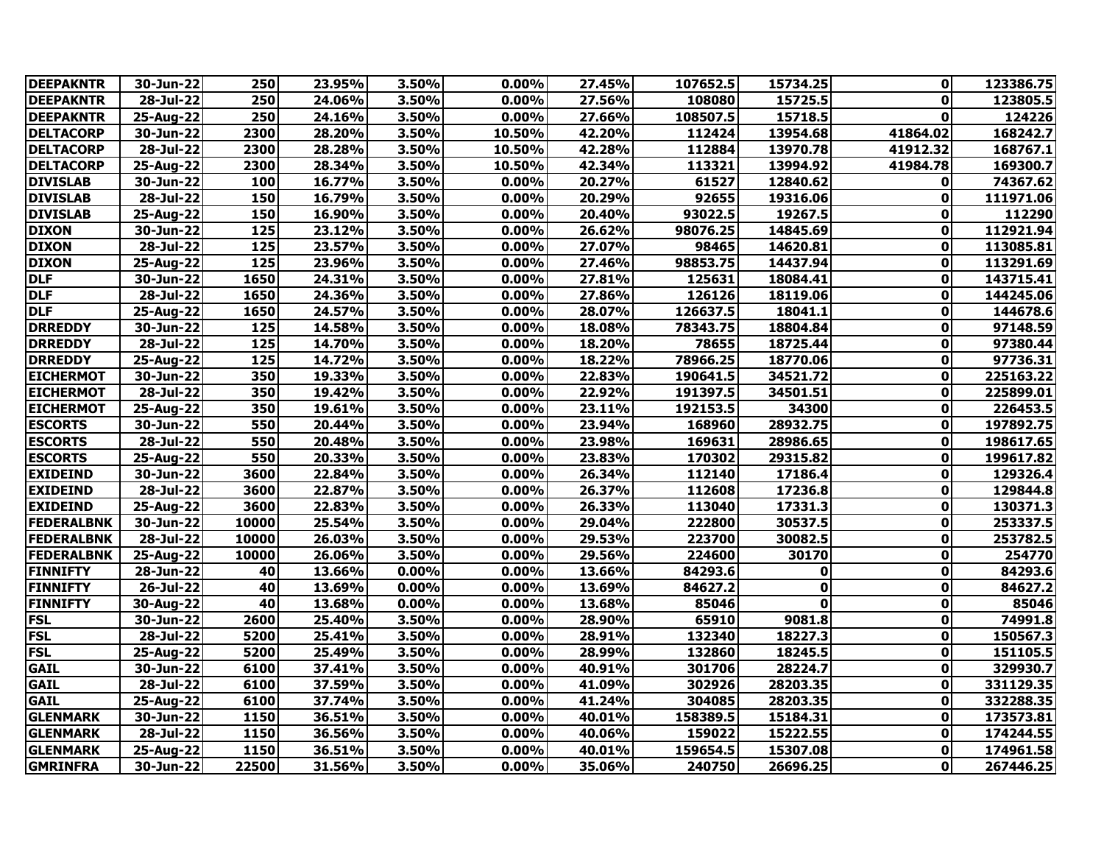| <b>DEEPAKNTR</b>  | 30-Jun-22               | 250               | 23.95% | 3.50% | 0.00%    | 27.45% | 107652.5 | 15734.25    | 0            | 123386.75 |
|-------------------|-------------------------|-------------------|--------|-------|----------|--------|----------|-------------|--------------|-----------|
| <b>DEEPAKNTR</b>  | 28-Jul-22               | 250               | 24.06% | 3.50% | $0.00\%$ | 27.56% | 108080   | 15725.5     | 0            | 123805.5  |
| <b>DEEPAKNTR</b>  | 25-Aug-22               | 250               | 24.16% | 3.50% | 0.00%    | 27.66% | 108507.5 | 15718.5     | 0            | 124226    |
| <b>DELTACORP</b>  | 30-Jun-22               | 2300              | 28.20% | 3.50% | 10.50%   | 42.20% | 112424   | 13954.68    | 41864.02     | 168242.7  |
| <b>DELTACORP</b>  | 28-Jul-22               | 2300              | 28.28% | 3.50% | 10.50%   | 42.28% | 112884   | 13970.78    | 41912.32     | 168767.1  |
| <b>DELTACORP</b>  | 25-Aug-22               | 2300              | 28.34% | 3.50% | 10.50%   | 42.34% | 113321   | 13994.92    | 41984.78     | 169300.7  |
| <b>DIVISLAB</b>   | 30-Jun-22               | 100               | 16.77% | 3.50% | 0.00%    | 20.27% | 61527    | 12840.62    | $\mathbf{0}$ | 74367.62  |
| <b>DIVISLAB</b>   | 28-Jul-22               | 150               | 16.79% | 3.50% | 0.00%    | 20.29% | 92655    | 19316.06    | $\mathbf 0$  | 111971.06 |
| <b>DIVISLAB</b>   | 25-Aug-22               | 150               | 16.90% | 3.50% | 0.00%    | 20.40% | 93022.5  | 19267.5     | 0            | 112290    |
| <b>DIXON</b>      | 30-Jun-22               | 125               | 23.12% | 3.50% | 0.00%    | 26.62% | 98076.25 | 14845.69    | $\mathbf{0}$ | 112921.94 |
| <b>DIXON</b>      | 28-Jul-22               | 125               | 23.57% | 3.50% | 0.00%    | 27.07% | 98465    | 14620.81    | $\mathbf{0}$ | 113085.81 |
| <b>DIXON</b>      | 25-Aug-22               | $\frac{125}{125}$ | 23.96% | 3.50% | 0.00%    | 27.46% | 98853.75 | 14437.94    | 0            | 113291.69 |
| <b>DLF</b>        | 30-Jun-22               | 1650              | 24.31% | 3.50% | 0.00%    | 27.81% | 125631   | 18084.41    | 0            | 143715.41 |
| <b>DLF</b>        | 28-Jul-22               | 1650              | 24.36% | 3.50% | 0.00%    | 27.86% | 126126   | 18119.06    | 0            | 144245.06 |
| <b>DLF</b>        | 25-Aug-22               | 1650              | 24.57% | 3.50% | 0.00%    | 28.07% | 126637.5 | 18041.1     | $\mathbf 0$  | 144678.6  |
| <b>DRREDDY</b>    | 30-Jun-22               | $\frac{125}{125}$ | 14.58% | 3.50% | $0.00\%$ | 18.08% | 78343.75 | 18804.84    | 0            | 97148.59  |
| <b>DRREDDY</b>    | 28-Jul-22               | $\frac{125}{125}$ | 14.70% | 3.50% | 0.00%    | 18.20% | 78655    | 18725.44    | 0            | 97380.44  |
| <b>DRREDDY</b>    | 25-Aug-22               | 125               | 14.72% | 3.50% | 0.00%    | 18.22% | 78966.25 | 18770.06    | 0            | 97736.31  |
| <b>EICHERMOT</b>  | 30-Jun-22               | 350               | 19.33% | 3.50% | 0.00%    | 22.83% | 190641.5 | 34521.72    | 0            | 225163.22 |
| <b>EICHERMOT</b>  | 28-Jul-22               | 350               | 19.42% | 3.50% | 0.00%    | 22.92% | 191397.5 | 34501.51    | 0            | 225899.01 |
| <b>EICHERMOT</b>  | $25$ -Aug-22            | 350               | 19.61% | 3.50% | 0.00%    | 23.11% | 192153.5 | 34300       | 0            | 226453.5  |
| <b>ESCORTS</b>    | 30-Jun-22               | 550               | 20.44% | 3.50% | 0.00%    | 23.94% | 168960   | 28932.75    | $\mathbf{0}$ | 197892.75 |
| <b>ESCORTS</b>    | 28-Jul-22               | 550               | 20.48% | 3.50% | 0.00%    | 23.98% | 169631   | 28986.65    | 0            | 198617.65 |
| <b>ESCORTS</b>    | 25-Aug-22               | 550               | 20.33% | 3.50% | 0.00%    | 23.83% | 170302   | 29315.82    | 0            | 199617.82 |
| <b>EXIDEIND</b>   | $30 - Jun-22$           | 3600              | 22.84% | 3.50% | 0.00%    | 26.34% | 112140   | 17186.4     | $\mathbf{0}$ | 129326.4  |
| <b>EXIDEIND</b>   | $\overline{28}$ -Jul-22 | 3600              | 22.87% | 3.50% | 0.00%    | 26.37% | 112608   | 17236.8     | $\mathbf 0$  | 129844.8  |
| <b>EXIDEIND</b>   | 25-Aug-22               | 3600              | 22.83% | 3.50% | 0.00%    | 26.33% | 113040   | 17331.3     | $\mathbf 0$  | 130371.3  |
| <b>FEDERALBNK</b> | 30-Jun-22               | 10000             | 25.54% | 3.50% | 0.00%    | 29.04% | 222800   | 30537.5     | 0            | 253337.5  |
| <b>FEDERALBNK</b> | $\overline{28}$ -Jul-22 | 10000             | 26.03% | 3.50% | 0.00%    | 29.53% | 223700   | 30082.5     | $\mathbf{0}$ | 253782.5  |
| <b>FEDERALBNK</b> | 25-Aug-22               | 10000             | 26.06% | 3.50% | 0.00%    | 29.56% | 224600   | 30170       | 0            | 254770    |
| <b>FINNIFTY</b>   | 28-Jun-22               | 40                | 13.66% | 0.00% | 0.00%    | 13.66% | 84293.6  | 0           | $\mathbf 0$  | 84293.6   |
| <b>FINNIFTY</b>   | 26-Jul-22               | 40                | 13.69% | 0.00% | 0.00%    | 13.69% | 84627.2  | $\mathbf 0$ | $\mathbf 0$  | 84627.2   |
| <b>FINNIFTY</b>   | 30-Aug-22               | 40                | 13.68% | 0.00% | 0.00%    | 13.68% | 85046    | 0           | 0            | 85046     |
| <b>FSL</b>        | 30-Jun-22               | 2600              | 25.40% | 3.50% | 0.00%    | 28.90% | 65910    | 9081.8      | $\mathbf 0$  | 74991.8   |
| <b>FSL</b>        | 28-Jul-22               | 5200              | 25.41% | 3.50% | 0.00%    | 28.91% | 132340   | 18227.3     | $\mathbf 0$  | 150567.3  |
| <b>FSL</b>        | 25-Aug-22               | 5200              | 25.49% | 3.50% | 0.00%    | 28.99% | 132860   | 18245.5     | $\mathbf{0}$ | 151105.5  |
| <b>GAIL</b>       | 30-Jun-22               | 6100              | 37.41% | 3.50% | $0.00\%$ | 40.91% | 301706   | 28224.7     | 0            | 329930.7  |
| <b>GAIL</b>       | 28-Jul-22               | 6100              | 37.59% | 3.50% | 0.00%    | 41.09% | 302926   | 28203.35    | 0            | 331129.35 |
| <b>GAIL</b>       | 25-Aug-22               | 6100              | 37.74% | 3.50% | 0.00%    | 41.24% | 304085   | 28203.35    | $\mathbf{0}$ | 332288.35 |
| <b>GLENMARK</b>   | 30-Jun-22               | 1150              | 36.51% | 3.50% | 0.00%    | 40.01% | 158389.5 | 15184.31    | $\mathbf{0}$ | 173573.81 |
| <b>GLENMARK</b>   | 28-Jul-22               | 1150              | 36.56% | 3.50% | $0.00\%$ | 40.06% | 159022   | 15222.55    | $\mathbf{0}$ | 174244.55 |
| <b>GLENMARK</b>   | 25-Aug-22               | 1150              | 36.51% | 3.50% | 0.00%    | 40.01% | 159654.5 | 15307.08    | $\mathbf{0}$ | 174961.58 |
| <b>GMRINFRA</b>   | 30-Jun-22               | 22500             | 31.56% | 3.50% | 0.00%    | 35.06% | 240750   | 26696.25    | 0            | 267446.25 |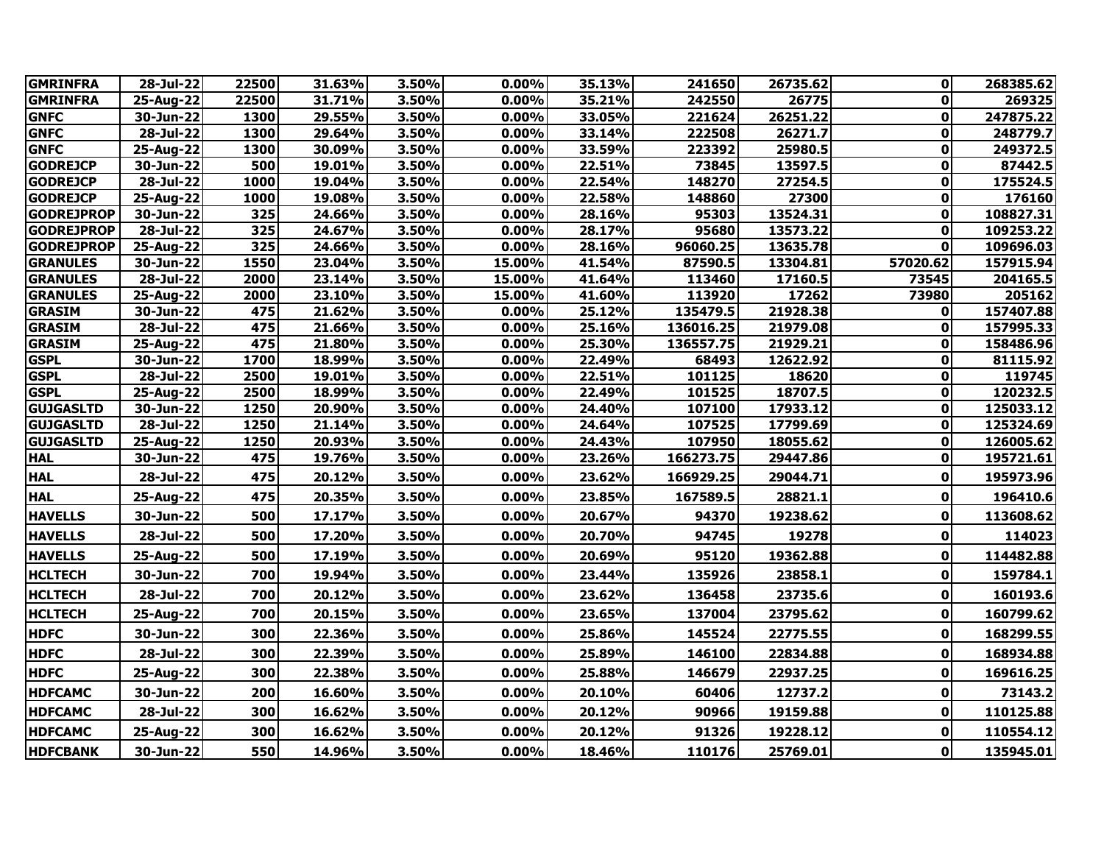| <b>GMRINFRA</b>   | 28-Jul-22     | 22500 | 31.63% | 3.50% | 0.00%    | 35.13% | 241650    | 26735.62 | $\mathbf{0}$ | 268385.62 |
|-------------------|---------------|-------|--------|-------|----------|--------|-----------|----------|--------------|-----------|
| <b>GMRINFRA</b>   | 25-Aug-22     | 22500 | 31.71% | 3.50% | 0.00%    | 35.21% | 242550    | 26775    | $\mathbf 0$  | 269325    |
| <b>GNFC</b>       | $30 - Jun-22$ | 1300  | 29.55% | 3.50% | 0.00%    | 33.05% | 221624    | 26251.22 | 0            | 247875.22 |
| <b>GNFC</b>       | 28-Jul-22     | 1300  | 29.64% | 3.50% | 0.00%    | 33.14% | 222508    | 26271.7  | 0            | 248779.7  |
| <b>GNFC</b>       | 25-Aug-22     | 1300  | 30.09% | 3.50% | 0.00%    | 33.59% | 223392    | 25980.5  | $\mathbf 0$  | 249372.5  |
| <b>GODREJCP</b>   | 30-Jun-22     | 500   | 19.01% | 3.50% | 0.00%    | 22.51% | 73845     | 13597.5  | 0            | 87442.5   |
| <b>GODREJCP</b>   | 28-Jul-22     | 1000  | 19.04% | 3.50% | 0.00%    | 22.54% | 148270    | 27254.5  | $\mathbf 0$  | 175524.5  |
| <b>GODREJCP</b>   | 25-Aug-22     | 1000  | 19.08% | 3.50% | 0.00%    | 22.58% | 148860    | 27300    | 0            | 176160    |
| <b>GODREJPROP</b> | 30-Jun-22     | 325   | 24.66% | 3.50% | 0.00%    | 28.16% | 95303     | 13524.31 | 0            | 108827.31 |
| <b>GODREJPROP</b> | 28-Jul-22     | 325   | 24.67% | 3.50% | 0.00%    | 28.17% | 95680     | 13573.22 | 0            | 109253.22 |
| <b>GODREJPROP</b> | 25-Aug-22     | 325   | 24.66% | 3.50% | 0.00%    | 28.16% | 96060.25  | 13635.78 | $\mathbf 0$  | 109696.03 |
| <b>GRANULES</b>   | 30-Jun-22     | 1550  | 23.04% | 3.50% | 15.00%   | 41.54% | 87590.5   | 13304.81 | 57020.62     | 157915.94 |
| <b>GRANULES</b>   | 28-Jul-22     | 2000  | 23.14% | 3.50% | 15.00%   | 41.64% | 113460    | 17160.5  | 73545        | 204165.5  |
| <b>GRANULES</b>   | 25-Aug-22     | 2000  | 23.10% | 3.50% | 15.00%   | 41.60% | 113920    | 17262    | 73980        | 205162    |
| <b>GRASIM</b>     | 30-Jun-22     | 475   | 21.62% | 3.50% | $0.00\%$ | 25.12% | 135479.5  | 21928.38 | 0            | 157407.88 |
| <b>GRASIM</b>     | 28-Jul-22     | 475   | 21.66% | 3.50% | 0.00%    | 25.16% | 136016.25 | 21979.08 | $\mathbf{0}$ | 157995.33 |
| <b>GRASIM</b>     | 25-Aug-22     | 475   | 21.80% | 3.50% | 0.00%    | 25.30% | 136557.75 | 21929.21 | $\mathbf{0}$ | 158486.96 |
| <b>GSPL</b>       | 30-Jun-22     | 1700  | 18.99% | 3.50% | 0.00%    | 22.49% | 68493     | 12622.92 | 0            | 81115.92  |
| <b>GSPL</b>       | 28-Jul-22     | 2500  | 19.01% | 3.50% | 0.00%    | 22.51% | 101125    | 18620    | 0            | 119745    |
| <b>GSPL</b>       | 25-Aug-22     | 2500  | 18.99% | 3.50% | $0.00\%$ | 22.49% | 101525    | 18707.5  | $\mathbf 0$  | 120232.5  |
| <b>GUJGASLTD</b>  | $30 - Jun-22$ | 1250  | 20.90% | 3.50% | 0.00%    | 24.40% | 107100    | 17933.12 | $\mathbf{0}$ | 125033.12 |
| <b>GUJGASLTD</b>  | 28-Jul-22     | 1250  | 21.14% | 3.50% | 0.00%    | 24.64% | 107525    | 17799.69 | 0            | 125324.69 |
| <b>GUJGASLTD</b>  | 25-Aug-22     | 1250  | 20.93% | 3.50% | $0.00\%$ | 24.43% | 107950    | 18055.62 | 0            | 126005.62 |
| <b>HAL</b>        | 30-Jun-22     | 475   | 19.76% | 3.50% | 0.00%    | 23.26% | 166273.75 | 29447.86 | 0            | 195721.61 |
| <b>HAL</b>        | 28-Jul-22     | 475   | 20.12% | 3.50% | 0.00%    | 23.62% | 166929.25 | 29044.71 | 0            | 195973.96 |
| <b>HAL</b>        | 25-Aug-22     | 475   | 20.35% | 3.50% | 0.00%    | 23.85% | 167589.5  | 28821.1  | 0            | 196410.6  |
| <b>HAVELLS</b>    | 30-Jun-22     | 500   | 17.17% | 3.50% | 0.00%    | 20.67% | 94370     | 19238.62 | 0            | 113608.62 |
| <b>HAVELLS</b>    | 28-Jul-22     | 500   | 17.20% | 3.50% | 0.00%    | 20.70% | 94745     | 19278    | $\bf{0}$     | 114023    |
| <b>HAVELLS</b>    | 25-Aug-22     | 500   | 17.19% | 3.50% | 0.00%    | 20.69% | 95120     | 19362.88 | 0            | 114482.88 |
| <b>HCLTECH</b>    | 30-Jun-22     | 700   | 19.94% | 3.50% | 0.00%    | 23.44% | 135926    | 23858.1  | $\pmb{0}$    | 159784.1  |
| <b>HCLTECH</b>    | 28-Jul-22     | 700   | 20.12% | 3.50% | 0.00%    | 23.62% | 136458    | 23735.6  | 0            | 160193.6  |
| <b>HCLTECH</b>    | 25-Aug-22     | 700   | 20.15% | 3.50% | 0.00%    | 23.65% | 137004    | 23795.62 | $\mathbf 0$  | 160799.62 |
| <b>HDFC</b>       | 30-Jun-22     | 300   | 22.36% | 3.50% | 0.00%    | 25.86% | 145524    | 22775.55 | $\mathbf 0$  | 168299.55 |
| <b>HDFC</b>       | 28-Jul-22     | 300   | 22.39% | 3.50% | 0.00%    | 25.89% | 146100    | 22834.88 | $\mathbf 0$  | 168934.88 |
| <b>HDFC</b>       | 25-Aug-22     | 300   | 22.38% | 3.50% | 0.00%    | 25.88% | 146679    | 22937.25 | 0            | 169616.25 |
| <b>HDFCAMC</b>    | 30-Jun-22     | 200   | 16.60% | 3.50% | 0.00%    | 20.10% | 60406     | 12737.2  | $\mathbf 0$  | 73143.2   |
| <b>HDFCAMC</b>    | 28-Jul-22     | 300   | 16.62% | 3.50% | 0.00%    | 20.12% | 90966     | 19159.88 | $\mathbf 0$  | 110125.88 |
| <b>HDFCAMC</b>    | 25-Aug-22     | 300   | 16.62% | 3.50% | 0.00%    | 20.12% | 91326     | 19228.12 | $\pmb{0}$    | 110554.12 |
| <b>HDFCBANK</b>   | 30-Jun-22     | 550   | 14.96% | 3.50% | $0.00\%$ | 18.46% | 110176    | 25769.01 | 0            | 135945.01 |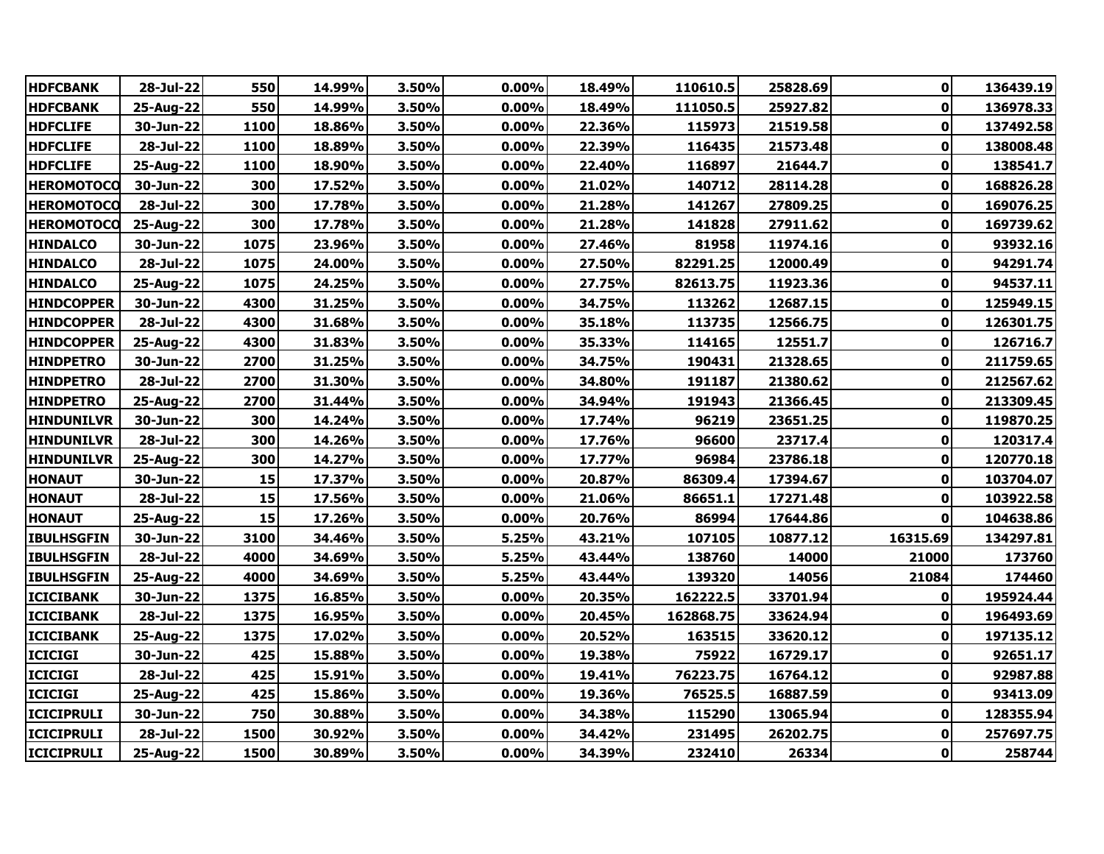| <b>HDFCBANK</b>   | 28-Jul-22 | 550  | 14.99% | 3.50% | 0.00%    | 18.49% | 110610.5  | 25828.69 | $\mathbf{0}$ | 136439.19 |
|-------------------|-----------|------|--------|-------|----------|--------|-----------|----------|--------------|-----------|
| <b>HDFCBANK</b>   | 25-Aug-22 | 550  | 14.99% | 3.50% | 0.00%    | 18.49% | 111050.5  | 25927.82 | $\mathbf 0$  | 136978.33 |
| <b>HDFCLIFE</b>   | 30-Jun-22 | 1100 | 18.86% | 3.50% | 0.00%    | 22.36% | 115973    | 21519.58 | 0            | 137492.58 |
| <b>HDFCLIFE</b>   | 28-Jul-22 | 1100 | 18.89% | 3.50% | 0.00%    | 22.39% | 116435    | 21573.48 | 0            | 138008.48 |
| <b>HDFCLIFE</b>   | 25-Aug-22 | 1100 | 18.90% | 3.50% | 0.00%    | 22.40% | 116897    | 21644.7  | 0            | 138541.7  |
| <b>HEROMOTOCO</b> | 30-Jun-22 | 300  | 17.52% | 3.50% | 0.00%    | 21.02% | 140712    | 28114.28 | 0            | 168826.28 |
| <b>HEROMOTOCO</b> | 28-Jul-22 | 300  | 17.78% | 3.50% | 0.00%    | 21.28% | 141267    | 27809.25 | 0            | 169076.25 |
| <b>HEROMOTOCO</b> | 25-Aug-22 | 300  | 17.78% | 3.50% | 0.00%    | 21.28% | 141828    | 27911.62 | 0            | 169739.62 |
| <b>HINDALCO</b>   | 30-Jun-22 | 1075 | 23.96% | 3.50% | 0.00%    | 27.46% | 81958     | 11974.16 | 0            | 93932.16  |
| <b>HINDALCO</b>   | 28-Jul-22 | 1075 | 24.00% | 3.50% | 0.00%    | 27.50% | 82291.25  | 12000.49 | 0            | 94291.74  |
| <b>HINDALCO</b>   | 25-Aug-22 | 1075 | 24.25% | 3.50% | $0.00\%$ | 27.75% | 82613.75  | 11923.36 | 0            | 94537.11  |
| <b>HINDCOPPER</b> | 30-Jun-22 | 4300 | 31.25% | 3.50% | 0.00%    | 34.75% | 113262    | 12687.15 | 0            | 125949.15 |
| <b>HINDCOPPER</b> | 28-Jul-22 | 4300 | 31.68% | 3.50% | 0.00%    | 35.18% | 113735    | 12566.75 | 0            | 126301.75 |
| <b>HINDCOPPER</b> | 25-Aug-22 | 4300 | 31.83% | 3.50% | 0.00%    | 35.33% | 114165    | 12551.7  | 0            | 126716.7  |
| <b>HINDPETRO</b>  | 30-Jun-22 | 2700 | 31.25% | 3.50% | 0.00%    | 34.75% | 190431    | 21328.65 | 0            | 211759.65 |
| <b>HINDPETRO</b>  | 28-Jul-22 | 2700 | 31.30% | 3.50% | 0.00%    | 34.80% | 191187    | 21380.62 | $\bf{0}$     | 212567.62 |
| <b>HINDPETRO</b>  | 25-Aug-22 | 2700 | 31.44% | 3.50% | 0.00%    | 34.94% | 191943    | 21366.45 | 0            | 213309.45 |
| <b>HINDUNILVR</b> | 30-Jun-22 | 300  | 14.24% | 3.50% | 0.00%    | 17.74% | 96219     | 23651.25 | 0            | 119870.25 |
| <b>HINDUNILVR</b> | 28-Jul-22 | 300  | 14.26% | 3.50% | $0.00\%$ | 17.76% | 96600     | 23717.4  | 0            | 120317.4  |
| <b>HINDUNILVR</b> | 25-Aug-22 | 300  | 14.27% | 3.50% | 0.00%    | 17.77% | 96984     | 23786.18 | 0            | 120770.18 |
| <b>HONAUT</b>     | 30-Jun-22 | 15   | 17.37% | 3.50% | 0.00%    | 20.87% | 86309.4   | 17394.67 | 0            | 103704.07 |
| <b>HONAUT</b>     | 28-Jul-22 | 15   | 17.56% | 3.50% | 0.00%    | 21.06% | 86651.1   | 17271.48 | 0            | 103922.58 |
| <b>HONAUT</b>     | 25-Aug-22 | 15   | 17.26% | 3.50% | 0.00%    | 20.76% | 86994     | 17644.86 | 0            | 104638.86 |
| <b>IBULHSGFIN</b> | 30-Jun-22 | 3100 | 34.46% | 3.50% | 5.25%    | 43.21% | 107105    | 10877.12 | 16315.69     | 134297.81 |
| <b>IBULHSGFIN</b> | 28-Jul-22 | 4000 | 34.69% | 3.50% | 5.25%    | 43.44% | 138760    | 14000    | 21000        | 173760    |
| <b>IBULHSGFIN</b> | 25-Aug-22 | 4000 | 34.69% | 3.50% | 5.25%    | 43.44% | 139320    | 14056    | 21084        | 174460    |
| <b>ICICIBANK</b>  | 30-Jun-22 | 1375 | 16.85% | 3.50% | 0.00%    | 20.35% | 162222.5  | 33701.94 | 0            | 195924.44 |
| <b>ICICIBANK</b>  | 28-Jul-22 | 1375 | 16.95% | 3.50% | 0.00%    | 20.45% | 162868.75 | 33624.94 | 0            | 196493.69 |
| <b>ICICIBANK</b>  | 25-Aug-22 | 1375 | 17.02% | 3.50% | 0.00%    | 20.52% | 163515    | 33620.12 | 0            | 197135.12 |
| <b>ICICIGI</b>    | 30-Jun-22 | 425  | 15.88% | 3.50% | $0.00\%$ | 19.38% | 75922     | 16729.17 | 0            | 92651.17  |
| <b>ICICIGI</b>    | 28-Jul-22 | 425  | 15.91% | 3.50% | $0.00\%$ | 19.41% | 76223.75  | 16764.12 | 0            | 92987.88  |
| <b>ICICIGI</b>    | 25-Aug-22 | 425  | 15.86% | 3.50% | 0.00%    | 19.36% | 76525.5   | 16887.59 | 0            | 93413.09  |
| <b>ICICIPRULI</b> | 30-Jun-22 | 750  | 30.88% | 3.50% | 0.00%    | 34.38% | 115290    | 13065.94 | 0            | 128355.94 |
| <b>ICICIPRULI</b> | 28-Jul-22 | 1500 | 30.92% | 3.50% | $0.00\%$ | 34.42% | 231495    | 26202.75 | 0            | 257697.75 |
| <b>ICICIPRULI</b> | 25-Aug-22 | 1500 | 30.89% | 3.50% | $0.00\%$ | 34.39% | 232410    | 26334    | 0            | 258744    |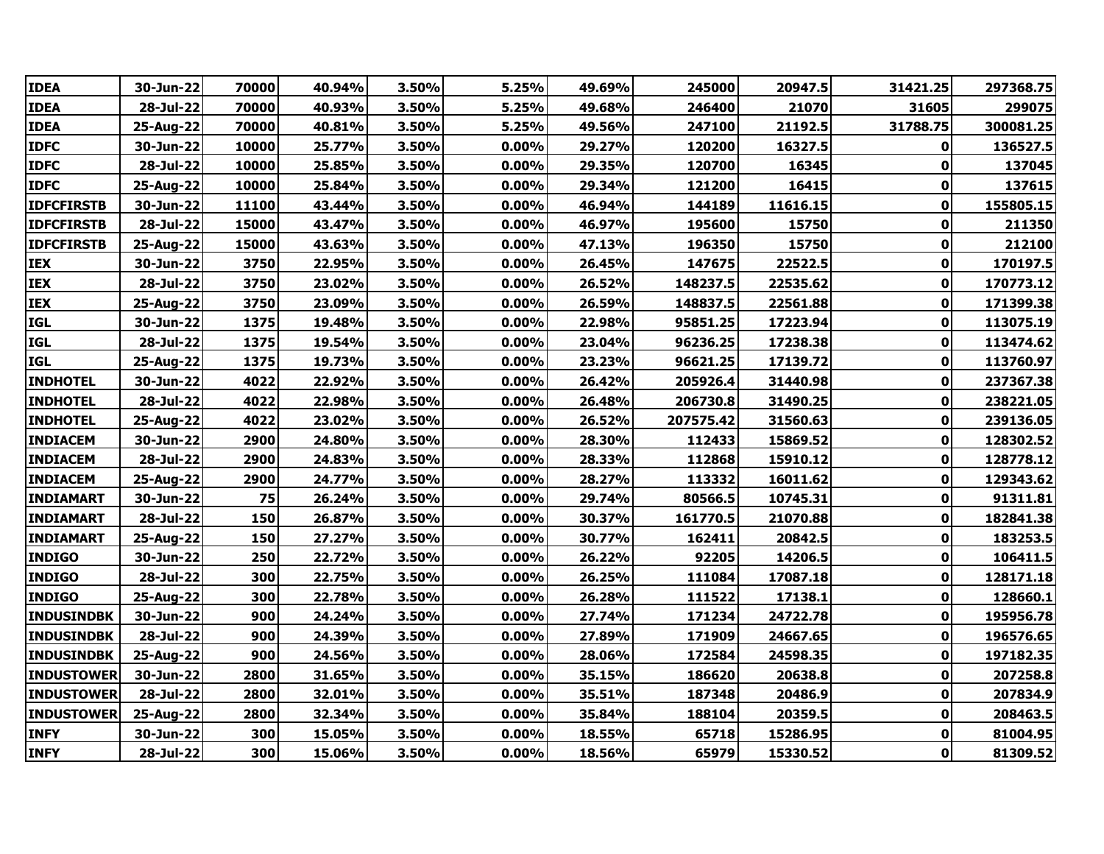| <b>IDEA</b>       | 30-Jun-22 | 70000 | 40.94% | 3.50% | 5.25%    | 49.69% | 245000    | 20947.5  | 31421.25     | 297368.75 |
|-------------------|-----------|-------|--------|-------|----------|--------|-----------|----------|--------------|-----------|
| <b>IDEA</b>       | 28-Jul-22 | 70000 | 40.93% | 3.50% | 5.25%    | 49.68% | 246400    | 21070    | 31605        | 299075    |
| <b>IDEA</b>       | 25-Aug-22 | 70000 | 40.81% | 3.50% | 5.25%    | 49.56% | 247100    | 21192.5  | 31788.75     | 300081.25 |
| <b>IDFC</b>       | 30-Jun-22 | 10000 | 25.77% | 3.50% | $0.00\%$ | 29.27% | 120200    | 16327.5  | 0            | 136527.5  |
| <b>IDFC</b>       | 28-Jul-22 | 10000 | 25.85% | 3.50% | $0.00\%$ | 29.35% | 120700    | 16345    | 0            | 137045    |
| <b>IDFC</b>       | 25-Aug-22 | 10000 | 25.84% | 3.50% | 0.00%    | 29.34% | 121200    | 16415    | 0            | 137615    |
| <b>IDFCFIRSTB</b> | 30-Jun-22 | 11100 | 43.44% | 3.50% | 0.00%    | 46.94% | 144189    | 11616.15 | 0            | 155805.15 |
| <b>IDFCFIRSTB</b> | 28-Jul-22 | 15000 | 43.47% | 3.50% | $0.00\%$ | 46.97% | 195600    | 15750    | 0            | 211350    |
| <b>IDFCFIRSTB</b> | 25-Aug-22 | 15000 | 43.63% | 3.50% | 0.00%    | 47.13% | 196350    | 15750    | $\mathbf 0$  | 212100    |
| IEX               | 30-Jun-22 | 3750  | 22.95% | 3.50% | 0.00%    | 26.45% | 147675    | 22522.5  | $\pmb{0}$    | 170197.5  |
| <b>IEX</b>        | 28-Jul-22 | 3750  | 23.02% | 3.50% | 0.00%    | 26.52% | 148237.5  | 22535.62 | $\pmb{0}$    | 170773.12 |
| <b>IEX</b>        | 25-Aug-22 | 3750  | 23.09% | 3.50% | $0.00\%$ | 26.59% | 148837.5  | 22561.88 | 0            | 171399.38 |
| <b>IGL</b>        | 30-Jun-22 | 1375  | 19.48% | 3.50% | 0.00%    | 22.98% | 95851.25  | 17223.94 | $\pmb{0}$    | 113075.19 |
| <b>IGL</b>        | 28-Jul-22 | 1375  | 19.54% | 3.50% | 0.00%    | 23.04% | 96236.25  | 17238.38 | $\pmb{0}$    | 113474.62 |
| <b>IGL</b>        | 25-Aug-22 | 1375  | 19.73% | 3.50% | $0.00\%$ | 23.23% | 96621.25  | 17139.72 | $\pmb{0}$    | 113760.97 |
| <b>INDHOTEL</b>   | 30-Jun-22 | 4022  | 22.92% | 3.50% | $0.00\%$ | 26.42% | 205926.4  | 31440.98 | 0            | 237367.38 |
| <b>INDHOTEL</b>   | 28-Jul-22 | 4022  | 22.98% | 3.50% | 0.00%    | 26.48% | 206730.8  | 31490.25 | $\pmb{0}$    | 238221.05 |
| <b>INDHOTEL</b>   | 25-Aug-22 | 4022  | 23.02% | 3.50% | 0.00%    | 26.52% | 207575.42 | 31560.63 | $\pmb{0}$    | 239136.05 |
| <b>INDIACEM</b>   | 30-Jun-22 | 2900  | 24.80% | 3.50% | $0.00\%$ | 28.30% | 112433    | 15869.52 | 0            | 128302.52 |
| <b>INDIACEM</b>   | 28-Jul-22 | 2900  | 24.83% | 3.50% | $0.00\%$ | 28.33% | 112868    | 15910.12 | 0            | 128778.12 |
| <b>INDIACEM</b>   | 25-Aug-22 | 2900  | 24.77% | 3.50% | 0.00%    | 28.27% | 113332    | 16011.62 | $\bf{0}$     | 129343.62 |
| <b>INDIAMART</b>  | 30-Jun-22 | 75    | 26.24% | 3.50% | 0.00%    | 29.74% | 80566.5   | 10745.31 | 0            | 91311.81  |
| <b>INDIAMART</b>  | 28-Jul-22 | 150   | 26.87% | 3.50% | $0.00\%$ | 30.37% | 161770.5  | 21070.88 | 0            | 182841.38 |
| <b>INDIAMART</b>  | 25-Aug-22 | 150   | 27.27% | 3.50% | $0.00\%$ | 30.77% | 162411    | 20842.5  | $\mathbf 0$  | 183253.5  |
| <b>INDIGO</b>     | 30-Jun-22 | 250   | 22.72% | 3.50% | 0.00%    | 26.22% | 92205     | 14206.5  | $\bf{0}$     | 106411.5  |
| <b>INDIGO</b>     | 28-Jul-22 | 300   | 22.75% | 3.50% | 0.00%    | 26.25% | 111084    | 17087.18 | $\mathbf 0$  | 128171.18 |
| <b>INDIGO</b>     | 25-Aug-22 | 300   | 22.78% | 3.50% | $0.00\%$ | 26.28% | 111522    | 17138.1  | $\bf{0}$     | 128660.1  |
| <b>INDUSINDBK</b> | 30-Jun-22 | 900   | 24.24% | 3.50% | 0.00%    | 27.74% | 171234    | 24722.78 | $\pmb{0}$    | 195956.78 |
| <b>INDUSINDBK</b> | 28-Jul-22 | 900   | 24.39% | 3.50% | 0.00%    | 27.89% | 171909    | 24667.65 | $\pmb{0}$    | 196576.65 |
| <b>INDUSINDBK</b> | 25-Aug-22 | 900   | 24.56% | 3.50% | $0.00\%$ | 28.06% | 172584    | 24598.35 | $\bf{0}$     | 197182.35 |
| <b>INDUSTOWER</b> | 30-Jun-22 | 2800  | 31.65% | 3.50% | $0.00\%$ | 35.15% | 186620    | 20638.8  | 0            | 207258.8  |
| <b>INDUSTOWER</b> | 28-Jul-22 | 2800  | 32.01% | 3.50% | 0.00%    | 35.51% | 187348    | 20486.9  | $\mathbf 0$  | 207834.9  |
| <b>INDUSTOWER</b> | 25-Aug-22 | 2800  | 32.34% | 3.50% | 0.00%    | 35.84% | 188104    | 20359.5  | $\mathbf 0$  | 208463.5  |
| <b>INFY</b>       | 30-Jun-22 | 300   | 15.05% | 3.50% | 0.00%    | 18.55% | 65718     | 15286.95 | 0            | 81004.95  |
| <b>INFY</b>       | 28-Jul-22 | 300   | 15.06% | 3.50% | $0.00\%$ | 18.56% | 65979     | 15330.52 | $\mathbf{0}$ | 81309.52  |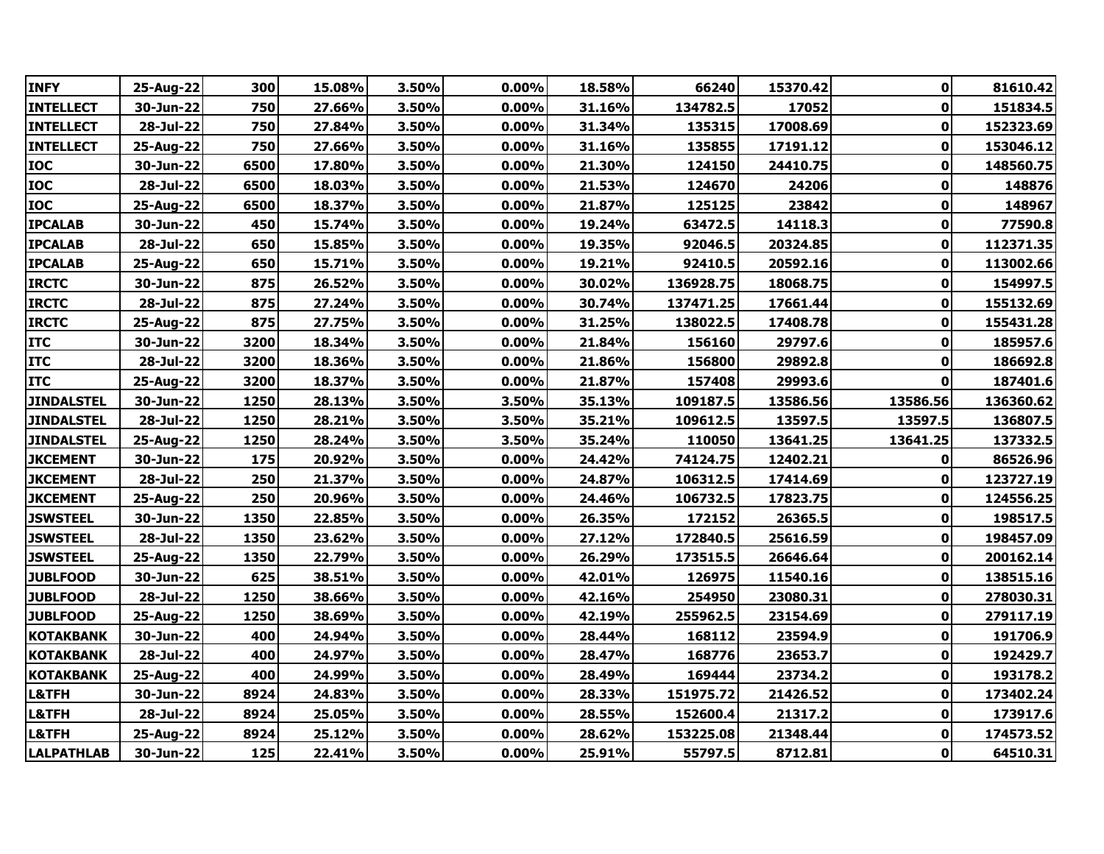| 300<br>15.08%<br>3.50%<br>0.00%<br>18.58%<br>15370.42<br>$\mathbf{0}$<br>25-Aug-22<br>66240<br>750<br>$\mathbf 0$<br>27.66%<br>3.50%<br>0.00%<br>31.16%<br>134782.5<br>17052<br>151834.5<br>30-Jun-22<br>$28 - Jul - 22$<br>750<br>27.84%<br>3.50%<br>0.00%<br>31.34%<br>17008.69<br>152323.69<br>135315<br>0<br>750<br>$\bf{0}$<br>27.66%<br>3.50%<br>0.00%<br>31.16%<br>135855<br>17191.12<br>25-Aug-22<br>6500<br>17.80%<br>3.50%<br>0.00%<br>21.30%<br>124150<br>24410.75<br>$\mathbf 0$<br>148560.75<br>30-Jun-22<br>18.03%<br>3.50%<br>0.00%<br>21.53%<br>124670<br>24206<br>28-Jul-22<br>6500<br>0<br>6500<br>18.37%<br>3.50%<br>0.00%<br>21.87%<br>23842<br>148967<br>25-Aug-22<br>125125<br>0<br>450<br>15.74%<br>3.50%<br>0.00%<br>19.24%<br>14118.3<br>0<br>77590.8<br>30-Jun-22<br>63472.5<br>650<br>15.85%<br>3.50%<br>0.00%<br>19.35%<br>$\mathbf 0$<br>112371.35<br>28-Jul-22<br>92046.5<br>20324.85<br>650<br>0.00%<br>$\mathbf 0$<br>25-Aug-22<br>15.71%<br>3.50%<br>19.21%<br>92410.5<br>20592.16<br>875<br>3.50%<br>$\mathbf 0$<br>154997.5<br>30-Jun-22<br>26.52%<br>0.00%<br>30.02%<br>136928.75<br>18068.75<br>875<br>3.50%<br>0.00%<br>30.74%<br>$\mathbf 0$<br>28-Jul-22<br>27.24%<br>137471.25<br>17661.44<br>155132.69<br>875<br>27.75%<br>3.50%<br>0.00%<br>31.25%<br>$\mathbf 0$<br>138022.5<br>17408.78<br>155431.28<br>25-Aug-22<br>3200<br>18.34%<br>3.50%<br>0.00%<br>21.84%<br>156160<br>185957.6<br>30-Jun-22<br>29797.6<br>0<br>3.50%<br>156800<br>186692.8<br>28-Jul-22<br>3200<br>18.36%<br>$0.00\%$<br>21.86%<br>29892.8<br>0<br>3200<br>18.37%<br>3.50%<br>$0.00\%$<br>21.87%<br>157408<br>29993.6<br>0<br>187401.6<br>25-Aug-22<br>1250<br>28.13%<br>3.50%<br>3.50%<br>35.13%<br>13586.56<br>13586.56<br>136360.62<br>30-Jun-22<br>109187.5<br>136807.5<br>28-Jul-22<br>1250<br>28.21%<br>3.50%<br>3.50%<br>35.21%<br>109612.5<br>13597.5<br>13597.5<br>1250<br>28.24%<br>3.50%<br>3.50%<br>35.24%<br>110050<br>13641.25<br>137332.5<br>25-Aug-22<br>13641.25<br>175<br>3.50%<br>24.42%<br>30-Jun-22<br>20.92%<br>$0.00\%$<br>74124.75<br>12402.21<br>86526.96<br>0<br>250<br>24.87%<br>28-Jul-22<br>21.37%<br>3.50%<br>0.00%<br>106312.5<br>17414.69<br>123727.19<br>0<br>250<br>3.50%<br>$0.00\%$<br>24.46%<br>20.96%<br>106732.5<br>17823.75<br>0<br>124556.25<br>25-Aug-22<br>30-Jun-22<br>1350<br>22.85%<br>3.50%<br>0.00%<br>26.35%<br>172152<br>26365.5<br>0<br>198517.5<br><b>JSWSTEEL</b><br>28-Jul-22<br>1350<br>23.62%<br>3.50%<br>0.00%<br>27.12%<br>172840.5<br>25616.59<br>0<br>1350<br>22.79%<br>3.50%<br>0.00%<br>26.29%<br>173515.5<br>$\bf{0}$<br>200162.14<br>26646.64<br>25-Aug-22<br>625<br>3.50%<br>30-Jun-22<br>38.51%<br>0.00%<br>42.01%<br>126975<br>11540.16<br>$\mathbf 0$<br>138515.16<br>1250<br>$\mathbf 0$<br>28-Jul-22<br>38.66%<br>3.50%<br>0.00%<br>42.16%<br>254950<br>23080.31<br>278030.31<br>1250<br>38.69%<br>3.50%<br>0.00%<br>42.19%<br>255962.5<br>23154.69<br>$\mathbf 0$<br>279117.19<br>25-Aug-22<br>400<br>$0.00\%$<br>28.44%<br>30-Jun-22<br>24.94%<br>3.50%<br>168112<br>23594.9<br>0<br>191706.9<br>400<br>24.97%<br>3.50%<br>0.00%<br>28.47%<br>168776<br>23653.7<br>$\mathbf 0$<br>192429.7<br>28-Jul-22<br>400<br><b>KOTAKBANK</b><br>25-Aug-22<br>24.99%<br>3.50%<br>$0.00\%$<br>28.49%<br>169444<br>23734.2<br>0<br>8924<br>24.83%<br>3.50%<br>0.00%<br>0<br>30-Jun-22<br>28.33%<br>151975.72<br>21426.52<br>173402.24<br>28-Jul-22<br>8924<br>25.05%<br>3.50%<br>0.00%<br>28.55%<br>21317.2<br>$\mathbf 0$<br>152600.4<br>8924<br>25.12%<br>3.50%<br>0.00%<br>28.62%<br>21348.44<br>$\bf{0}$<br>25-Aug-22<br>153225.08<br>125<br>$\mathbf{0}$<br><b>LALPATHLAB</b><br>30-Jun-22<br>22.41%<br>3.50%<br>$0.00\%$<br>25.91%<br>55797.5<br>8712.81 |                   |  |  |  |  |           |
|-----------------------------------------------------------------------------------------------------------------------------------------------------------------------------------------------------------------------------------------------------------------------------------------------------------------------------------------------------------------------------------------------------------------------------------------------------------------------------------------------------------------------------------------------------------------------------------------------------------------------------------------------------------------------------------------------------------------------------------------------------------------------------------------------------------------------------------------------------------------------------------------------------------------------------------------------------------------------------------------------------------------------------------------------------------------------------------------------------------------------------------------------------------------------------------------------------------------------------------------------------------------------------------------------------------------------------------------------------------------------------------------------------------------------------------------------------------------------------------------------------------------------------------------------------------------------------------------------------------------------------------------------------------------------------------------------------------------------------------------------------------------------------------------------------------------------------------------------------------------------------------------------------------------------------------------------------------------------------------------------------------------------------------------------------------------------------------------------------------------------------------------------------------------------------------------------------------------------------------------------------------------------------------------------------------------------------------------------------------------------------------------------------------------------------------------------------------------------------------------------------------------------------------------------------------------------------------------------------------------------------------------------------------------------------------------------------------------------------------------------------------------------------------------------------------------------------------------------------------------------------------------------------------------------------------------------------------------------------------------------------------------------------------------------------------------------------------------------------------------------------------------------------------------------------------------------------------------------------------------------------------------------------------------------------------------------------------------------------------------------------------------------------------------------------------------------------------------------------------------------------------------------------------------------------------------------------------------------------------------------------------------------------------------------------------------------------------------------------------------------|-------------------|--|--|--|--|-----------|
|                                                                                                                                                                                                                                                                                                                                                                                                                                                                                                                                                                                                                                                                                                                                                                                                                                                                                                                                                                                                                                                                                                                                                                                                                                                                                                                                                                                                                                                                                                                                                                                                                                                                                                                                                                                                                                                                                                                                                                                                                                                                                                                                                                                                                                                                                                                                                                                                                                                                                                                                                                                                                                                                                                                                                                                                                                                                                                                                                                                                                                                                                                                                                                                                                                                                                                                                                                                                                                                                                                                                                                                                                                                                                                                                               | <b>INFY</b>       |  |  |  |  | 81610.42  |
|                                                                                                                                                                                                                                                                                                                                                                                                                                                                                                                                                                                                                                                                                                                                                                                                                                                                                                                                                                                                                                                                                                                                                                                                                                                                                                                                                                                                                                                                                                                                                                                                                                                                                                                                                                                                                                                                                                                                                                                                                                                                                                                                                                                                                                                                                                                                                                                                                                                                                                                                                                                                                                                                                                                                                                                                                                                                                                                                                                                                                                                                                                                                                                                                                                                                                                                                                                                                                                                                                                                                                                                                                                                                                                                                               | <b>INTELLECT</b>  |  |  |  |  |           |
|                                                                                                                                                                                                                                                                                                                                                                                                                                                                                                                                                                                                                                                                                                                                                                                                                                                                                                                                                                                                                                                                                                                                                                                                                                                                                                                                                                                                                                                                                                                                                                                                                                                                                                                                                                                                                                                                                                                                                                                                                                                                                                                                                                                                                                                                                                                                                                                                                                                                                                                                                                                                                                                                                                                                                                                                                                                                                                                                                                                                                                                                                                                                                                                                                                                                                                                                                                                                                                                                                                                                                                                                                                                                                                                                               | <b>INTELLECT</b>  |  |  |  |  |           |
|                                                                                                                                                                                                                                                                                                                                                                                                                                                                                                                                                                                                                                                                                                                                                                                                                                                                                                                                                                                                                                                                                                                                                                                                                                                                                                                                                                                                                                                                                                                                                                                                                                                                                                                                                                                                                                                                                                                                                                                                                                                                                                                                                                                                                                                                                                                                                                                                                                                                                                                                                                                                                                                                                                                                                                                                                                                                                                                                                                                                                                                                                                                                                                                                                                                                                                                                                                                                                                                                                                                                                                                                                                                                                                                                               | <b>INTELLECT</b>  |  |  |  |  | 153046.12 |
|                                                                                                                                                                                                                                                                                                                                                                                                                                                                                                                                                                                                                                                                                                                                                                                                                                                                                                                                                                                                                                                                                                                                                                                                                                                                                                                                                                                                                                                                                                                                                                                                                                                                                                                                                                                                                                                                                                                                                                                                                                                                                                                                                                                                                                                                                                                                                                                                                                                                                                                                                                                                                                                                                                                                                                                                                                                                                                                                                                                                                                                                                                                                                                                                                                                                                                                                                                                                                                                                                                                                                                                                                                                                                                                                               | <b>IOC</b>        |  |  |  |  |           |
|                                                                                                                                                                                                                                                                                                                                                                                                                                                                                                                                                                                                                                                                                                                                                                                                                                                                                                                                                                                                                                                                                                                                                                                                                                                                                                                                                                                                                                                                                                                                                                                                                                                                                                                                                                                                                                                                                                                                                                                                                                                                                                                                                                                                                                                                                                                                                                                                                                                                                                                                                                                                                                                                                                                                                                                                                                                                                                                                                                                                                                                                                                                                                                                                                                                                                                                                                                                                                                                                                                                                                                                                                                                                                                                                               | <b>IOC</b>        |  |  |  |  | 148876    |
|                                                                                                                                                                                                                                                                                                                                                                                                                                                                                                                                                                                                                                                                                                                                                                                                                                                                                                                                                                                                                                                                                                                                                                                                                                                                                                                                                                                                                                                                                                                                                                                                                                                                                                                                                                                                                                                                                                                                                                                                                                                                                                                                                                                                                                                                                                                                                                                                                                                                                                                                                                                                                                                                                                                                                                                                                                                                                                                                                                                                                                                                                                                                                                                                                                                                                                                                                                                                                                                                                                                                                                                                                                                                                                                                               | <b>TOC</b>        |  |  |  |  |           |
|                                                                                                                                                                                                                                                                                                                                                                                                                                                                                                                                                                                                                                                                                                                                                                                                                                                                                                                                                                                                                                                                                                                                                                                                                                                                                                                                                                                                                                                                                                                                                                                                                                                                                                                                                                                                                                                                                                                                                                                                                                                                                                                                                                                                                                                                                                                                                                                                                                                                                                                                                                                                                                                                                                                                                                                                                                                                                                                                                                                                                                                                                                                                                                                                                                                                                                                                                                                                                                                                                                                                                                                                                                                                                                                                               | <b>IPCALAB</b>    |  |  |  |  |           |
|                                                                                                                                                                                                                                                                                                                                                                                                                                                                                                                                                                                                                                                                                                                                                                                                                                                                                                                                                                                                                                                                                                                                                                                                                                                                                                                                                                                                                                                                                                                                                                                                                                                                                                                                                                                                                                                                                                                                                                                                                                                                                                                                                                                                                                                                                                                                                                                                                                                                                                                                                                                                                                                                                                                                                                                                                                                                                                                                                                                                                                                                                                                                                                                                                                                                                                                                                                                                                                                                                                                                                                                                                                                                                                                                               | <b>IPCALAB</b>    |  |  |  |  |           |
|                                                                                                                                                                                                                                                                                                                                                                                                                                                                                                                                                                                                                                                                                                                                                                                                                                                                                                                                                                                                                                                                                                                                                                                                                                                                                                                                                                                                                                                                                                                                                                                                                                                                                                                                                                                                                                                                                                                                                                                                                                                                                                                                                                                                                                                                                                                                                                                                                                                                                                                                                                                                                                                                                                                                                                                                                                                                                                                                                                                                                                                                                                                                                                                                                                                                                                                                                                                                                                                                                                                                                                                                                                                                                                                                               | <b>IPCALAB</b>    |  |  |  |  | 113002.66 |
|                                                                                                                                                                                                                                                                                                                                                                                                                                                                                                                                                                                                                                                                                                                                                                                                                                                                                                                                                                                                                                                                                                                                                                                                                                                                                                                                                                                                                                                                                                                                                                                                                                                                                                                                                                                                                                                                                                                                                                                                                                                                                                                                                                                                                                                                                                                                                                                                                                                                                                                                                                                                                                                                                                                                                                                                                                                                                                                                                                                                                                                                                                                                                                                                                                                                                                                                                                                                                                                                                                                                                                                                                                                                                                                                               | <b>IRCTC</b>      |  |  |  |  |           |
|                                                                                                                                                                                                                                                                                                                                                                                                                                                                                                                                                                                                                                                                                                                                                                                                                                                                                                                                                                                                                                                                                                                                                                                                                                                                                                                                                                                                                                                                                                                                                                                                                                                                                                                                                                                                                                                                                                                                                                                                                                                                                                                                                                                                                                                                                                                                                                                                                                                                                                                                                                                                                                                                                                                                                                                                                                                                                                                                                                                                                                                                                                                                                                                                                                                                                                                                                                                                                                                                                                                                                                                                                                                                                                                                               | <b>IRCTC</b>      |  |  |  |  |           |
|                                                                                                                                                                                                                                                                                                                                                                                                                                                                                                                                                                                                                                                                                                                                                                                                                                                                                                                                                                                                                                                                                                                                                                                                                                                                                                                                                                                                                                                                                                                                                                                                                                                                                                                                                                                                                                                                                                                                                                                                                                                                                                                                                                                                                                                                                                                                                                                                                                                                                                                                                                                                                                                                                                                                                                                                                                                                                                                                                                                                                                                                                                                                                                                                                                                                                                                                                                                                                                                                                                                                                                                                                                                                                                                                               | <b>IRCTC</b>      |  |  |  |  |           |
|                                                                                                                                                                                                                                                                                                                                                                                                                                                                                                                                                                                                                                                                                                                                                                                                                                                                                                                                                                                                                                                                                                                                                                                                                                                                                                                                                                                                                                                                                                                                                                                                                                                                                                                                                                                                                                                                                                                                                                                                                                                                                                                                                                                                                                                                                                                                                                                                                                                                                                                                                                                                                                                                                                                                                                                                                                                                                                                                                                                                                                                                                                                                                                                                                                                                                                                                                                                                                                                                                                                                                                                                                                                                                                                                               | <b>ITC</b>        |  |  |  |  |           |
|                                                                                                                                                                                                                                                                                                                                                                                                                                                                                                                                                                                                                                                                                                                                                                                                                                                                                                                                                                                                                                                                                                                                                                                                                                                                                                                                                                                                                                                                                                                                                                                                                                                                                                                                                                                                                                                                                                                                                                                                                                                                                                                                                                                                                                                                                                                                                                                                                                                                                                                                                                                                                                                                                                                                                                                                                                                                                                                                                                                                                                                                                                                                                                                                                                                                                                                                                                                                                                                                                                                                                                                                                                                                                                                                               | <b>ITC</b>        |  |  |  |  |           |
|                                                                                                                                                                                                                                                                                                                                                                                                                                                                                                                                                                                                                                                                                                                                                                                                                                                                                                                                                                                                                                                                                                                                                                                                                                                                                                                                                                                                                                                                                                                                                                                                                                                                                                                                                                                                                                                                                                                                                                                                                                                                                                                                                                                                                                                                                                                                                                                                                                                                                                                                                                                                                                                                                                                                                                                                                                                                                                                                                                                                                                                                                                                                                                                                                                                                                                                                                                                                                                                                                                                                                                                                                                                                                                                                               | <b>ITC</b>        |  |  |  |  |           |
|                                                                                                                                                                                                                                                                                                                                                                                                                                                                                                                                                                                                                                                                                                                                                                                                                                                                                                                                                                                                                                                                                                                                                                                                                                                                                                                                                                                                                                                                                                                                                                                                                                                                                                                                                                                                                                                                                                                                                                                                                                                                                                                                                                                                                                                                                                                                                                                                                                                                                                                                                                                                                                                                                                                                                                                                                                                                                                                                                                                                                                                                                                                                                                                                                                                                                                                                                                                                                                                                                                                                                                                                                                                                                                                                               | <b>JINDALSTEL</b> |  |  |  |  |           |
|                                                                                                                                                                                                                                                                                                                                                                                                                                                                                                                                                                                                                                                                                                                                                                                                                                                                                                                                                                                                                                                                                                                                                                                                                                                                                                                                                                                                                                                                                                                                                                                                                                                                                                                                                                                                                                                                                                                                                                                                                                                                                                                                                                                                                                                                                                                                                                                                                                                                                                                                                                                                                                                                                                                                                                                                                                                                                                                                                                                                                                                                                                                                                                                                                                                                                                                                                                                                                                                                                                                                                                                                                                                                                                                                               | <b>JINDALSTEL</b> |  |  |  |  |           |
|                                                                                                                                                                                                                                                                                                                                                                                                                                                                                                                                                                                                                                                                                                                                                                                                                                                                                                                                                                                                                                                                                                                                                                                                                                                                                                                                                                                                                                                                                                                                                                                                                                                                                                                                                                                                                                                                                                                                                                                                                                                                                                                                                                                                                                                                                                                                                                                                                                                                                                                                                                                                                                                                                                                                                                                                                                                                                                                                                                                                                                                                                                                                                                                                                                                                                                                                                                                                                                                                                                                                                                                                                                                                                                                                               | <b>JINDALSTEL</b> |  |  |  |  |           |
|                                                                                                                                                                                                                                                                                                                                                                                                                                                                                                                                                                                                                                                                                                                                                                                                                                                                                                                                                                                                                                                                                                                                                                                                                                                                                                                                                                                                                                                                                                                                                                                                                                                                                                                                                                                                                                                                                                                                                                                                                                                                                                                                                                                                                                                                                                                                                                                                                                                                                                                                                                                                                                                                                                                                                                                                                                                                                                                                                                                                                                                                                                                                                                                                                                                                                                                                                                                                                                                                                                                                                                                                                                                                                                                                               | <b>JKCEMENT</b>   |  |  |  |  |           |
|                                                                                                                                                                                                                                                                                                                                                                                                                                                                                                                                                                                                                                                                                                                                                                                                                                                                                                                                                                                                                                                                                                                                                                                                                                                                                                                                                                                                                                                                                                                                                                                                                                                                                                                                                                                                                                                                                                                                                                                                                                                                                                                                                                                                                                                                                                                                                                                                                                                                                                                                                                                                                                                                                                                                                                                                                                                                                                                                                                                                                                                                                                                                                                                                                                                                                                                                                                                                                                                                                                                                                                                                                                                                                                                                               | <b>JKCEMENT</b>   |  |  |  |  |           |
|                                                                                                                                                                                                                                                                                                                                                                                                                                                                                                                                                                                                                                                                                                                                                                                                                                                                                                                                                                                                                                                                                                                                                                                                                                                                                                                                                                                                                                                                                                                                                                                                                                                                                                                                                                                                                                                                                                                                                                                                                                                                                                                                                                                                                                                                                                                                                                                                                                                                                                                                                                                                                                                                                                                                                                                                                                                                                                                                                                                                                                                                                                                                                                                                                                                                                                                                                                                                                                                                                                                                                                                                                                                                                                                                               | <b>JKCEMENT</b>   |  |  |  |  |           |
|                                                                                                                                                                                                                                                                                                                                                                                                                                                                                                                                                                                                                                                                                                                                                                                                                                                                                                                                                                                                                                                                                                                                                                                                                                                                                                                                                                                                                                                                                                                                                                                                                                                                                                                                                                                                                                                                                                                                                                                                                                                                                                                                                                                                                                                                                                                                                                                                                                                                                                                                                                                                                                                                                                                                                                                                                                                                                                                                                                                                                                                                                                                                                                                                                                                                                                                                                                                                                                                                                                                                                                                                                                                                                                                                               | <b>JSWSTEEL</b>   |  |  |  |  |           |
|                                                                                                                                                                                                                                                                                                                                                                                                                                                                                                                                                                                                                                                                                                                                                                                                                                                                                                                                                                                                                                                                                                                                                                                                                                                                                                                                                                                                                                                                                                                                                                                                                                                                                                                                                                                                                                                                                                                                                                                                                                                                                                                                                                                                                                                                                                                                                                                                                                                                                                                                                                                                                                                                                                                                                                                                                                                                                                                                                                                                                                                                                                                                                                                                                                                                                                                                                                                                                                                                                                                                                                                                                                                                                                                                               |                   |  |  |  |  | 198457.09 |
|                                                                                                                                                                                                                                                                                                                                                                                                                                                                                                                                                                                                                                                                                                                                                                                                                                                                                                                                                                                                                                                                                                                                                                                                                                                                                                                                                                                                                                                                                                                                                                                                                                                                                                                                                                                                                                                                                                                                                                                                                                                                                                                                                                                                                                                                                                                                                                                                                                                                                                                                                                                                                                                                                                                                                                                                                                                                                                                                                                                                                                                                                                                                                                                                                                                                                                                                                                                                                                                                                                                                                                                                                                                                                                                                               | <b>JSWSTEEL</b>   |  |  |  |  |           |
|                                                                                                                                                                                                                                                                                                                                                                                                                                                                                                                                                                                                                                                                                                                                                                                                                                                                                                                                                                                                                                                                                                                                                                                                                                                                                                                                                                                                                                                                                                                                                                                                                                                                                                                                                                                                                                                                                                                                                                                                                                                                                                                                                                                                                                                                                                                                                                                                                                                                                                                                                                                                                                                                                                                                                                                                                                                                                                                                                                                                                                                                                                                                                                                                                                                                                                                                                                                                                                                                                                                                                                                                                                                                                                                                               | <b>JUBLFOOD</b>   |  |  |  |  |           |
|                                                                                                                                                                                                                                                                                                                                                                                                                                                                                                                                                                                                                                                                                                                                                                                                                                                                                                                                                                                                                                                                                                                                                                                                                                                                                                                                                                                                                                                                                                                                                                                                                                                                                                                                                                                                                                                                                                                                                                                                                                                                                                                                                                                                                                                                                                                                                                                                                                                                                                                                                                                                                                                                                                                                                                                                                                                                                                                                                                                                                                                                                                                                                                                                                                                                                                                                                                                                                                                                                                                                                                                                                                                                                                                                               | <b>JUBLFOOD</b>   |  |  |  |  |           |
|                                                                                                                                                                                                                                                                                                                                                                                                                                                                                                                                                                                                                                                                                                                                                                                                                                                                                                                                                                                                                                                                                                                                                                                                                                                                                                                                                                                                                                                                                                                                                                                                                                                                                                                                                                                                                                                                                                                                                                                                                                                                                                                                                                                                                                                                                                                                                                                                                                                                                                                                                                                                                                                                                                                                                                                                                                                                                                                                                                                                                                                                                                                                                                                                                                                                                                                                                                                                                                                                                                                                                                                                                                                                                                                                               | <b>JUBLFOOD</b>   |  |  |  |  |           |
|                                                                                                                                                                                                                                                                                                                                                                                                                                                                                                                                                                                                                                                                                                                                                                                                                                                                                                                                                                                                                                                                                                                                                                                                                                                                                                                                                                                                                                                                                                                                                                                                                                                                                                                                                                                                                                                                                                                                                                                                                                                                                                                                                                                                                                                                                                                                                                                                                                                                                                                                                                                                                                                                                                                                                                                                                                                                                                                                                                                                                                                                                                                                                                                                                                                                                                                                                                                                                                                                                                                                                                                                                                                                                                                                               | <b>KOTAKBANK</b>  |  |  |  |  |           |
|                                                                                                                                                                                                                                                                                                                                                                                                                                                                                                                                                                                                                                                                                                                                                                                                                                                                                                                                                                                                                                                                                                                                                                                                                                                                                                                                                                                                                                                                                                                                                                                                                                                                                                                                                                                                                                                                                                                                                                                                                                                                                                                                                                                                                                                                                                                                                                                                                                                                                                                                                                                                                                                                                                                                                                                                                                                                                                                                                                                                                                                                                                                                                                                                                                                                                                                                                                                                                                                                                                                                                                                                                                                                                                                                               | <b>KOTAKBANK</b>  |  |  |  |  |           |
|                                                                                                                                                                                                                                                                                                                                                                                                                                                                                                                                                                                                                                                                                                                                                                                                                                                                                                                                                                                                                                                                                                                                                                                                                                                                                                                                                                                                                                                                                                                                                                                                                                                                                                                                                                                                                                                                                                                                                                                                                                                                                                                                                                                                                                                                                                                                                                                                                                                                                                                                                                                                                                                                                                                                                                                                                                                                                                                                                                                                                                                                                                                                                                                                                                                                                                                                                                                                                                                                                                                                                                                                                                                                                                                                               |                   |  |  |  |  | 193178.2  |
|                                                                                                                                                                                                                                                                                                                                                                                                                                                                                                                                                                                                                                                                                                                                                                                                                                                                                                                                                                                                                                                                                                                                                                                                                                                                                                                                                                                                                                                                                                                                                                                                                                                                                                                                                                                                                                                                                                                                                                                                                                                                                                                                                                                                                                                                                                                                                                                                                                                                                                                                                                                                                                                                                                                                                                                                                                                                                                                                                                                                                                                                                                                                                                                                                                                                                                                                                                                                                                                                                                                                                                                                                                                                                                                                               | L&TFH             |  |  |  |  |           |
|                                                                                                                                                                                                                                                                                                                                                                                                                                                                                                                                                                                                                                                                                                                                                                                                                                                                                                                                                                                                                                                                                                                                                                                                                                                                                                                                                                                                                                                                                                                                                                                                                                                                                                                                                                                                                                                                                                                                                                                                                                                                                                                                                                                                                                                                                                                                                                                                                                                                                                                                                                                                                                                                                                                                                                                                                                                                                                                                                                                                                                                                                                                                                                                                                                                                                                                                                                                                                                                                                                                                                                                                                                                                                                                                               | L&TFH             |  |  |  |  | 173917.6  |
|                                                                                                                                                                                                                                                                                                                                                                                                                                                                                                                                                                                                                                                                                                                                                                                                                                                                                                                                                                                                                                                                                                                                                                                                                                                                                                                                                                                                                                                                                                                                                                                                                                                                                                                                                                                                                                                                                                                                                                                                                                                                                                                                                                                                                                                                                                                                                                                                                                                                                                                                                                                                                                                                                                                                                                                                                                                                                                                                                                                                                                                                                                                                                                                                                                                                                                                                                                                                                                                                                                                                                                                                                                                                                                                                               | L&TFH             |  |  |  |  | 174573.52 |
|                                                                                                                                                                                                                                                                                                                                                                                                                                                                                                                                                                                                                                                                                                                                                                                                                                                                                                                                                                                                                                                                                                                                                                                                                                                                                                                                                                                                                                                                                                                                                                                                                                                                                                                                                                                                                                                                                                                                                                                                                                                                                                                                                                                                                                                                                                                                                                                                                                                                                                                                                                                                                                                                                                                                                                                                                                                                                                                                                                                                                                                                                                                                                                                                                                                                                                                                                                                                                                                                                                                                                                                                                                                                                                                                               |                   |  |  |  |  | 64510.31  |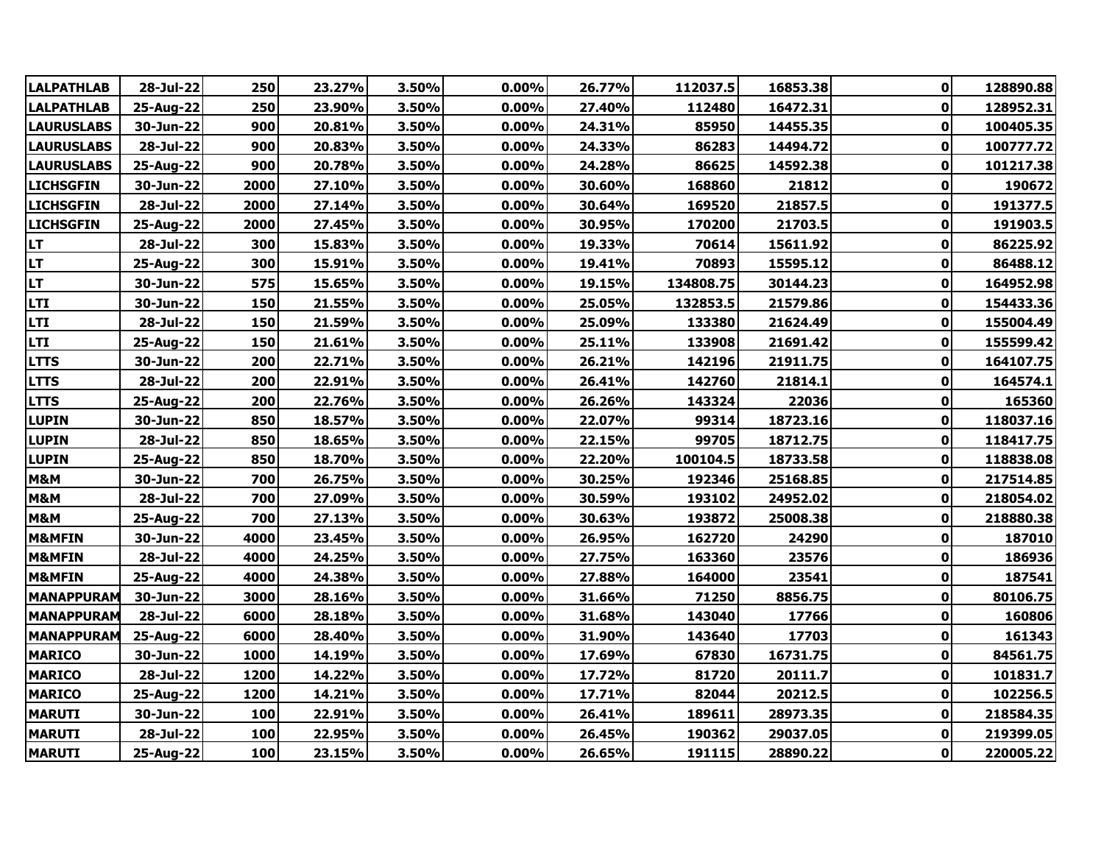| <b>LALPATHLAB</b> | 28-Jul-22 | 250  | 23.27% | 3.50% | 0.00%    | 26.77% | 112037.5  | 16853.38 | $\mathbf{0}$ | 128890.88 |
|-------------------|-----------|------|--------|-------|----------|--------|-----------|----------|--------------|-----------|
| <b>LALPATHLAB</b> | 25-Aug-22 | 250  | 23.90% | 3.50% | 0.00%    | 27.40% | 112480    | 16472.31 | $\mathbf 0$  | 128952.31 |
| <b>LAURUSLABS</b> | 30-Jun-22 | 900  | 20.81% | 3.50% | 0.00%    | 24.31% | 85950     | 14455.35 | $\mathbf 0$  | 100405.35 |
| <b>LAURUSLABS</b> | 28-Jul-22 | 900  | 20.83% | 3.50% | $0.00\%$ | 24.33% | 86283     | 14494.72 | 0            | 100777.72 |
| <b>LAURUSLABS</b> | 25-Aug-22 | 900  | 20.78% | 3.50% | 0.00%    | 24.28% | 86625     | 14592.38 | 0            | 101217.38 |
| <b>LICHSGFIN</b>  | 30-Jun-22 | 2000 | 27.10% | 3.50% | 0.00%    | 30.60% | 168860    | 21812    | 0            | 190672    |
| <b>LICHSGFIN</b>  | 28-Jul-22 | 2000 | 27.14% | 3.50% | 0.00%    | 30.64% | 169520    | 21857.5  | 0            | 191377.5  |
| <b>LICHSGFIN</b>  | 25-Aug-22 | 2000 | 27.45% | 3.50% | $0.00\%$ | 30.95% | 170200    | 21703.5  | 0            | 191903.5  |
| <b>LT</b>         | 28-Jul-22 | 300  | 15.83% | 3.50% | 0.00%    | 19.33% | 70614     | 15611.92 | $\mathbf 0$  | 86225.92  |
| <b>LT</b>         | 25-Aug-22 | 300  | 15.91% | 3.50% | 0.00%    | 19.41% | 70893     | 15595.12 | $\mathbf 0$  | 86488.12  |
| LT                | 30-Jun-22 | 575  | 15.65% | 3.50% | 0.00%    | 19.15% | 134808.75 | 30144.23 | $\mathbf 0$  | 164952.98 |
| <b>LTI</b>        | 30-Jun-22 | 150  | 21.55% | 3.50% | 0.00%    | 25.05% | 132853.5  | 21579.86 | 0            | 154433.36 |
| <b>LTI</b>        | 28-Jul-22 | 150  | 21.59% | 3.50% | 0.00%    | 25.09% | 133380    | 21624.49 | $\mathbf 0$  | 155004.49 |
| <b>LTI</b>        | 25-Aug-22 | 150  | 21.61% | 3.50% | 0.00%    | 25.11% | 133908    | 21691.42 | 0            | 155599.42 |
| <b>LTTS</b>       | 30-Jun-22 | 200  | 22.71% | 3.50% | $0.00\%$ | 26.21% | 142196    | 21911.75 | $\pmb{0}$    | 164107.75 |
| <b>LTTS</b>       | 28-Jul-22 | 200  | 22.91% | 3.50% | $0.00\%$ | 26.41% | 142760    | 21814.1  | 0            | 164574.1  |
| <b>LTTS</b>       | 25-Aug-22 | 200  | 22.76% | 3.50% | 0.00%    | 26.26% | 143324    | 22036    | $\pmb{0}$    | 165360    |
| <b>LUPIN</b>      | 30-Jun-22 | 850  | 18.57% | 3.50% | 0.00%    | 22.07% | 99314     | 18723.16 | $\pmb{0}$    | 118037.16 |
| <b>LUPIN</b>      | 28-Jul-22 | 850  | 18.65% | 3.50% | $0.00\%$ | 22.15% | 99705     | 18712.75 | $\pmb{0}$    | 118417.75 |
| <b>LUPIN</b>      | 25-Aug-22 | 850  | 18.70% | 3.50% | 0.00%    | 22.20% | 100104.5  | 18733.58 | 0            | 118838.08 |
| M&M               | 30-Jun-22 | 700  | 26.75% | 3.50% | 0.00%    | 30.25% | 192346    | 25168.85 | 0            | 217514.85 |
| M&M               | 28-Jul-22 | 700  | 27.09% | 3.50% | 0.00%    | 30.59% | 193102    | 24952.02 | 0            | 218054.02 |
| M&M               | 25-Aug-22 | 700  | 27.13% | 3.50% | 0.00%    | 30.63% | 193872    | 25008.38 | 0            | 218880.38 |
| <b>M&amp;MFIN</b> | 30-Jun-22 | 4000 | 23.45% | 3.50% | 0.00%    | 26.95% | 162720    | 24290    | 0            | 187010    |
| <b>M&amp;MFIN</b> | 28-Jul-22 | 4000 | 24.25% | 3.50% | 0.00%    | 27.75% | 163360    | 23576    | $\mathbf 0$  | 186936    |
| <b>M&amp;MFIN</b> | 25-Aug-22 | 4000 | 24.38% | 3.50% | 0.00%    | 27.88% | 164000    | 23541    | $\bf{0}$     | 187541    |
| <b>MANAPPURAM</b> | 30-Jun-22 | 3000 | 28.16% | 3.50% | $0.00\%$ | 31.66% | 71250     | 8856.75  | $\mathbf 0$  | 80106.75  |
| <b>MANAPPURAM</b> | 28-Jul-22 | 6000 | 28.18% | 3.50% | 0.00%    | 31.68% | 143040    | 17766    | $\mathbf 0$  | 160806    |
| <b>MANAPPURAM</b> | 25-Aug-22 | 6000 | 28.40% | 3.50% | 0.00%    | 31.90% | 143640    | 17703    | $\mathbf 0$  | 161343    |
| <b>MARICO</b>     | 30-Jun-22 | 1000 | 14.19% | 3.50% | $0.00\%$ | 17.69% | 67830     | 16731.75 | $\mathbf 0$  | 84561.75  |
| <b>MARICO</b>     | 28-Jul-22 | 1200 | 14.22% | 3.50% | 0.00%    | 17.72% | 81720     | 20111.7  | 0            | 101831.7  |
| <b>MARICO</b>     | 25-Aug-22 | 1200 | 14.21% | 3.50% | 0.00%    | 17.71% | 82044     | 20212.5  | $\pmb{0}$    | 102256.5  |
| <b>MARUTI</b>     | 30-Jun-22 | 100  | 22.91% | 3.50% | 0.00%    | 26.41% | 189611    | 28973.35 | $\pmb{0}$    | 218584.35 |
| <b>MARUTI</b>     | 28-Jul-22 | 100  | 22.95% | 3.50% | 0.00%    | 26.45% | 190362    | 29037.05 | 0            | 219399.05 |
| <b>MARUTI</b>     | 25-Aug-22 | 100  | 23.15% | 3.50% | $0.00\%$ | 26.65% | 191115    | 28890.22 | $\mathbf{0}$ | 220005.22 |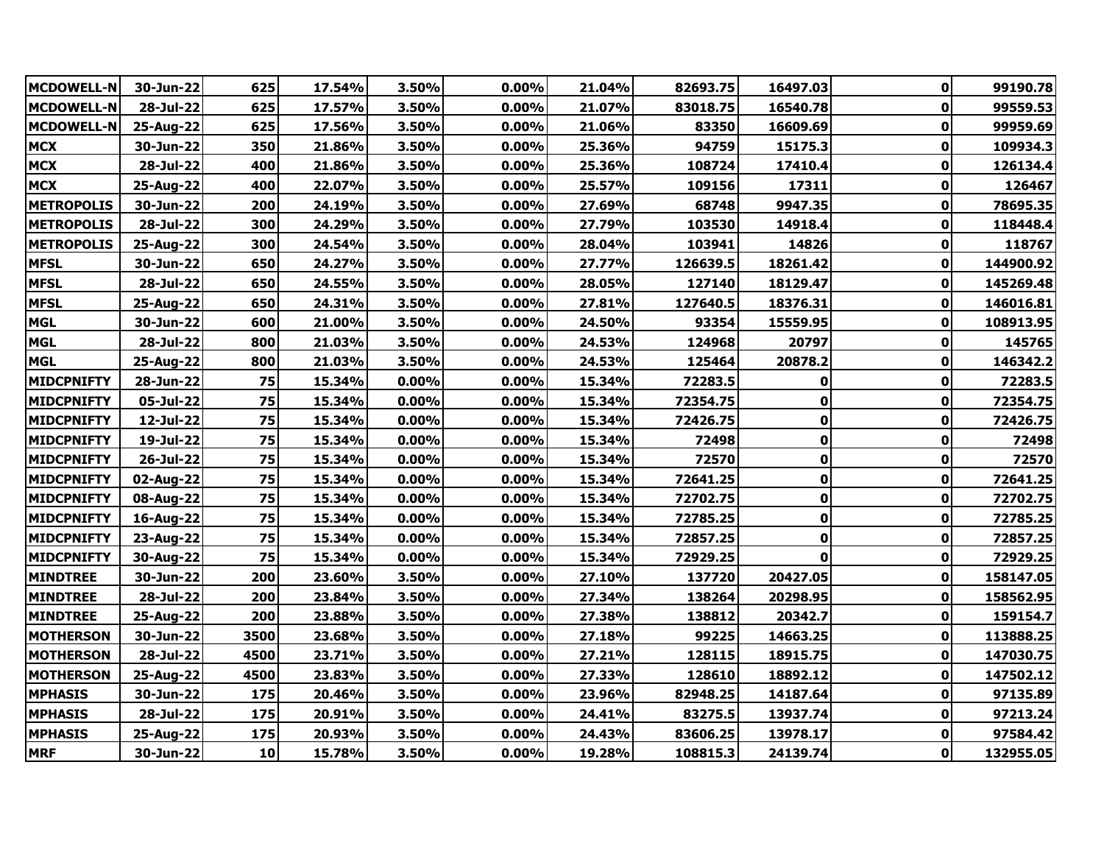| <b>MCDOWELL-N</b> | 30-Jun-22 | 625  | 17.54% | 3.50% | 0.00%    | 21.04% | 82693.75 | 16497.03 | $\mathbf{0}$ | 99190.78  |
|-------------------|-----------|------|--------|-------|----------|--------|----------|----------|--------------|-----------|
| <b>MCDOWELL-N</b> | 28-Jul-22 | 625  | 17.57% | 3.50% | 0.00%    | 21.07% | 83018.75 | 16540.78 | $\mathbf 0$  | 99559.53  |
| <b>MCDOWELL-N</b> | 25-Aug-22 | 625  | 17.56% | 3.50% | 0.00%    | 21.06% | 83350    | 16609.69 | 0            | 99959.69  |
| <b>MCX</b>        | 30-Jun-22 | 350  | 21.86% | 3.50% | 0.00%    | 25.36% | 94759    | 15175.3  | 0            | 109934.3  |
| <b>MCX</b>        | 28-Jul-22 | 400  | 21.86% | 3.50% | 0.00%    | 25.36% | 108724   | 17410.4  | $\mathbf 0$  | 126134.4  |
| <b>MCX</b>        | 25-Aug-22 | 400  | 22.07% | 3.50% | 0.00%    | 25.57% | 109156   | 17311    | 0            | 126467    |
| <b>METROPOLIS</b> | 30-Jun-22 | 200  | 24.19% | 3.50% | 0.00%    | 27.69% | 68748    | 9947.35  | 0            | 78695.35  |
| <b>METROPOLIS</b> | 28-Jul-22 | 300  | 24.29% | 3.50% | $0.00\%$ | 27.79% | 103530   | 14918.4  | 0            | 118448.4  |
| <b>METROPOLIS</b> | 25-Aug-22 | 300  | 24.54% | 3.50% | 0.00%    | 28.04% | 103941   | 14826    | $\mathbf 0$  | 118767    |
| <b>MFSL</b>       | 30-Jun-22 | 650  | 24.27% | 3.50% | 0.00%    | 27.77% | 126639.5 | 18261.42 | $\mathbf 0$  | 144900.92 |
| <b>MFSL</b>       | 28-Jul-22 | 650  | 24.55% | 3.50% | 0.00%    | 28.05% | 127140   | 18129.47 | $\pmb{0}$    | 145269.48 |
| <b>MFSL</b>       | 25-Aug-22 | 650  | 24.31% | 3.50% | 0.00%    | 27.81% | 127640.5 | 18376.31 | 0            | 146016.81 |
| <b>MGL</b>        | 30-Jun-22 | 600  | 21.00% | 3.50% | 0.00%    | 24.50% | 93354    | 15559.95 | 0            | 108913.95 |
| <b>MGL</b>        | 28-Jul-22 | 800  | 21.03% | 3.50% | 0.00%    | 24.53% | 124968   | 20797    | 0            | 145765    |
| <b>MGL</b>        | 25-Aug-22 | 800  | 21.03% | 3.50% | $0.00\%$ | 24.53% | 125464   | 20878.2  | $\mathbf 0$  | 146342.2  |
| <b>MIDCPNIFTY</b> | 28-Jun-22 | 75   | 15.34% | 0.00% | $0.00\%$ | 15.34% | 72283.5  | 0        | 0            | 72283.5   |
| <b>MIDCPNIFTY</b> | 05-Jul-22 | 75   | 15.34% | 0.00% | 0.00%    | 15.34% | 72354.75 | 0        | $\pmb{0}$    | 72354.75  |
| <b>MIDCPNIFTY</b> | 12-Jul-22 | 75   | 15.34% | 0.00% | 0.00%    | 15.34% | 72426.75 | 0        | $\mathbf 0$  | 72426.75  |
| <b>MIDCPNIFTY</b> | 19-Jul-22 | 75   | 15.34% | 0.00% | $0.00\%$ | 15.34% | 72498    | 0        | 0            | 72498     |
| <b>MIDCPNIFTY</b> | 26-Jul-22 | 75   | 15.34% | 0.00% | 0.00%    | 15.34% | 72570    | 0        | 0            | 72570     |
| <b>MIDCPNIFTY</b> | 02-Aug-22 | 75   | 15.34% | 0.00% | 0.00%    | 15.34% | 72641.25 | 0        | 0            | 72641.25  |
| <b>MIDCPNIFTY</b> | 08-Aug-22 | 75   | 15.34% | 0.00% | 0.00%    | 15.34% | 72702.75 | 0        | 0            | 72702.75  |
| <b>MIDCPNIFTY</b> | 16-Aug-22 | 75   | 15.34% | 0.00% | 0.00%    | 15.34% | 72785.25 | 0        | $\mathbf 0$  | 72785.25  |
| <b>MIDCPNIFTY</b> | 23-Aug-22 | 75   | 15.34% | 0.00% | 0.00%    | 15.34% | 72857.25 | 0        | 0            | 72857.25  |
| <b>MIDCPNIFTY</b> | 30-Aug-22 | 75   | 15.34% | 0.00% | 0.00%    | 15.34% | 72929.25 | 0        | $\mathbf 0$  | 72929.25  |
| <b>MINDTREE</b>   | 30-Jun-22 | 200  | 23.60% | 3.50% | 0.00%    | 27.10% | 137720   | 20427.05 | $\mathbf 0$  | 158147.05 |
| <b>MINDTREE</b>   | 28-Jul-22 | 200  | 23.84% | 3.50% | $0.00\%$ | 27.34% | 138264   | 20298.95 | 0            | 158562.95 |
| <b>MINDTREE</b>   | 25-Aug-22 | 200  | 23.88% | 3.50% | 0.00%    | 27.38% | 138812   | 20342.7  | $\pmb{0}$    | 159154.7  |
| <b>MOTHERSON</b>  | 30-Jun-22 | 3500 | 23.68% | 3.50% | 0.00%    | 27.18% | 99225    | 14663.25 | $\mathbf 0$  | 113888.25 |
| <b>MOTHERSON</b>  | 28-Jul-22 | 4500 | 23.71% | 3.50% | 0.00%    | 27.21% | 128115   | 18915.75 | $\pmb{0}$    | 147030.75 |
| <b>MOTHERSON</b>  | 25-Aug-22 | 4500 | 23.83% | 3.50% | 0.00%    | 27.33% | 128610   | 18892.12 | 0            | 147502.12 |
| <b>MPHASIS</b>    | 30-Jun-22 | 175  | 20.46% | 3.50% | 0.00%    | 23.96% | 82948.25 | 14187.64 | $\pmb{0}$    | 97135.89  |
| <b>MPHASIS</b>    | 28-Jul-22 | 175  | 20.91% | 3.50% | 0.00%    | 24.41% | 83275.5  | 13937.74 | $\pmb{0}$    | 97213.24  |
| <b>MPHASIS</b>    | 25-Aug-22 | 175  | 20.93% | 3.50% | 0.00%    | 24.43% | 83606.25 | 13978.17 | $\mathbf 0$  | 97584.42  |
| <b>MRF</b>        | 30-Jun-22 | 10   | 15.78% | 3.50% | $0.00\%$ | 19.28% | 108815.3 | 24139.74 | 0            | 132955.05 |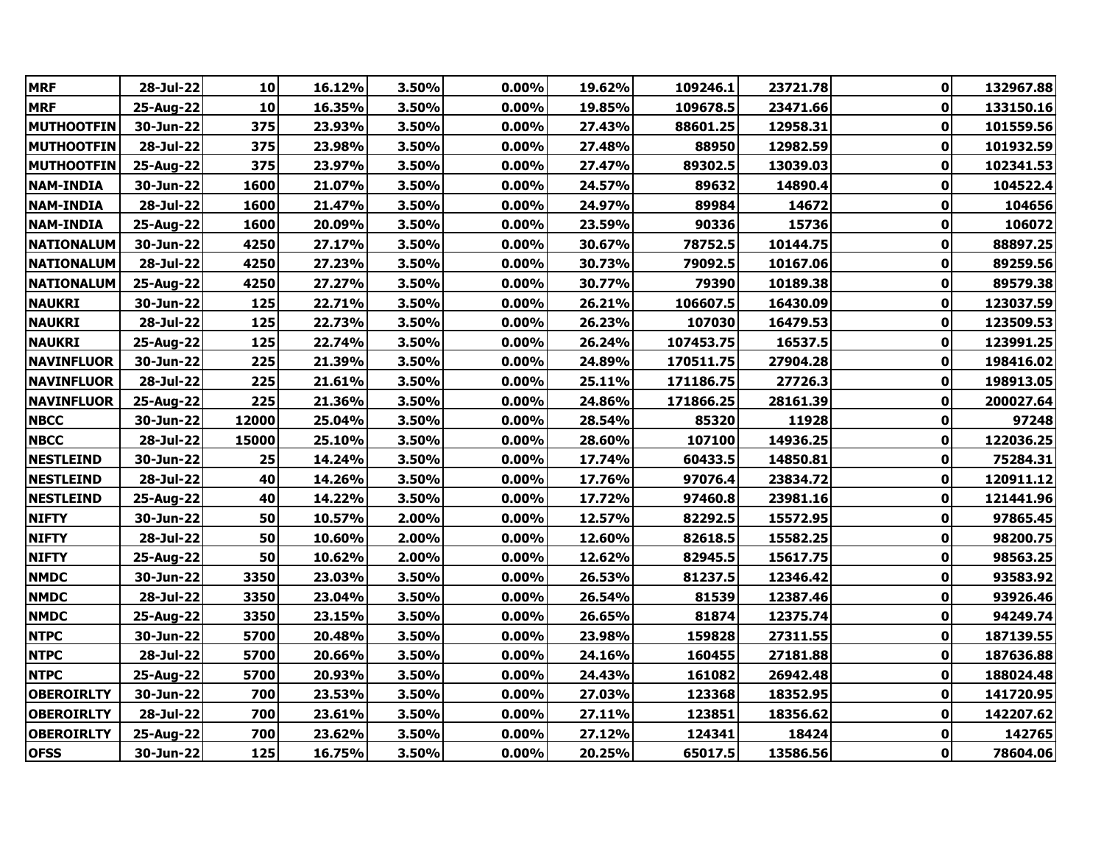| <b>MRF</b>        | 28-Jul-22 | 10    | 16.12% | 3.50% | 0.00%    | 19.62% | 109246.1  | 23721.78 | $\mathbf{0}$ | 132967.88 |
|-------------------|-----------|-------|--------|-------|----------|--------|-----------|----------|--------------|-----------|
| <b>MRF</b>        | 25-Aug-22 | 10    | 16.35% | 3.50% | 0.00%    | 19.85% | 109678.5  | 23471.66 | $\mathbf 0$  | 133150.16 |
| <b>MUTHOOTFIN</b> | 30-Jun-22 | 375   | 23.93% | 3.50% | $0.00\%$ | 27.43% | 88601.25  | 12958.31 | 0            | 101559.56 |
| <b>MUTHOOTFIN</b> | 28-Jul-22 | 375   | 23.98% | 3.50% | 0.00%    | 27.48% | 88950     | 12982.59 | 0            | 101932.59 |
| <b>MUTHOOTFIN</b> | 25-Aug-22 | 375   | 23.97% | 3.50% | 0.00%    | 27.47% | 89302.5   | 13039.03 | $\pmb{0}$    | 102341.53 |
| <b>NAM-INDIA</b>  | 30-Jun-22 | 1600  | 21.07% | 3.50% | 0.00%    | 24.57% | 89632     | 14890.4  | 0            | 104522.4  |
| <b>NAM-INDIA</b>  | 28-Jul-22 | 1600  | 21.47% | 3.50% | 0.00%    | 24.97% | 89984     | 14672    | 0            | 104656    |
| <b>NAM-INDIA</b>  | 25-Aug-22 | 1600  | 20.09% | 3.50% | 0.00%    | 23.59% | 90336     | 15736    | $\mathbf 0$  | 106072    |
| <b>NATIONALUM</b> | 30-Jun-22 | 4250  | 27.17% | 3.50% | 0.00%    | 30.67% | 78752.5   | 10144.75 | $\mathbf 0$  | 88897.25  |
| <b>NATIONALUM</b> | 28-Jul-22 | 4250  | 27.23% | 3.50% | 0.00%    | 30.73% | 79092.5   | 10167.06 | $\mathbf 0$  | 89259.56  |
| <b>NATIONALUM</b> | 25-Aug-22 | 4250  | 27.27% | 3.50% | 0.00%    | 30.77% | 79390     | 10189.38 | $\bf{0}$     | 89579.38  |
| <b>NAUKRI</b>     | 30-Jun-22 | 125   | 22.71% | 3.50% | $0.00\%$ | 26.21% | 106607.5  | 16430.09 | $\pmb{0}$    | 123037.59 |
| <b>NAUKRI</b>     | 28-Jul-22 | 125   | 22.73% | 3.50% | 0.00%    | 26.23% | 107030    | 16479.53 | $\pmb{0}$    | 123509.53 |
| <b>NAUKRI</b>     | 25-Aug-22 | 125   | 22.74% | 3.50% | 0.00%    | 26.24% | 107453.75 | 16537.5  | 0            | 123991.25 |
| <b>NAVINFLUOR</b> | 30-Jun-22 | 225   | 21.39% | 3.50% | $0.00\%$ | 24.89% | 170511.75 | 27904.28 | 0            | 198416.02 |
| <b>NAVINFLUOR</b> | 28-Jul-22 | 225   | 21.61% | 3.50% | $0.00\%$ | 25.11% | 171186.75 | 27726.3  | $\pmb{0}$    | 198913.05 |
| <b>NAVINFLUOR</b> | 25-Aug-22 | 225   | 21.36% | 3.50% | 0.00%    | 24.86% | 171866.25 | 28161.39 | 0            | 200027.64 |
| <b>NBCC</b>       | 30-Jun-22 | 12000 | 25.04% | 3.50% | $0.00\%$ | 28.54% | 85320     | 11928    | 0            | 97248     |
| <b>NBCC</b>       | 28-Jul-22 | 15000 | 25.10% | 3.50% | 0.00%    | 28.60% | 107100    | 14936.25 | 0            | 122036.25 |
| <b>NESTLEIND</b>  | 30-Jun-22 | 25    | 14.24% | 3.50% | $0.00\%$ | 17.74% | 60433.5   | 14850.81 | 0            | 75284.31  |
| <b>NESTLEIND</b>  | 28-Jul-22 | 40    | 14.26% | 3.50% | 0.00%    | 17.76% | 97076.4   | 23834.72 | $\mathbf 0$  | 120911.12 |
| <b>NESTLEIND</b>  | 25-Aug-22 | 40    | 14.22% | 3.50% | 0.00%    | 17.72% | 97460.8   | 23981.16 | 0            | 121441.96 |
| <b>NIFTY</b>      | 30-Jun-22 | 50    | 10.57% | 2.00% | $0.00\%$ | 12.57% | 82292.5   | 15572.95 | 0            | 97865.45  |
| <b>NIFTY</b>      | 28-Jul-22 | 50    | 10.60% | 2.00% | 0.00%    | 12.60% | 82618.5   | 15582.25 | $\mathbf 0$  | 98200.75  |
| <b>NIFTY</b>      | 25-Aug-22 | 50    | 10.62% | 2.00% | 0.00%    | 12.62% | 82945.5   | 15617.75 | $\mathbf 0$  | 98563.25  |
| <b>NMDC</b>       | 30-Jun-22 | 3350  | 23.03% | 3.50% | 0.00%    | 26.53% | 81237.5   | 12346.42 | $\mathbf 0$  | 93583.92  |
| <b>NMDC</b>       | 28-Jul-22 | 3350  | 23.04% | 3.50% | 0.00%    | 26.54% | 81539     | 12387.46 | $\mathbf 0$  | 93926.46  |
| <b>NMDC</b>       | 25-Aug-22 | 3350  | 23.15% | 3.50% | 0.00%    | 26.65% | 81874     | 12375.74 | $\bf{0}$     | 94249.74  |
| <b>NTPC</b>       | 30-Jun-22 | 5700  | 20.48% | 3.50% | 0.00%    | 23.98% | 159828    | 27311.55 | 0            | 187139.55 |
| <b>NTPC</b>       | 28-Jul-22 | 5700  | 20.66% | 3.50% | $0.00\%$ | 24.16% | 160455    | 27181.88 | $\mathbf 0$  | 187636.88 |
| <b>NTPC</b>       | 25-Aug-22 | 5700  | 20.93% | 3.50% | $0.00\%$ | 24.43% | 161082    | 26942.48 | 0            | 188024.48 |
| <b>OBEROIRLTY</b> | 30-Jun-22 | 700   | 23.53% | 3.50% | 0.00%    | 27.03% | 123368    | 18352.95 | $\pmb{0}$    | 141720.95 |
| <b>OBEROIRLTY</b> | 28-Jul-22 | 700   | 23.61% | 3.50% | 0.00%    | 27.11% | 123851    | 18356.62 | $\pmb{0}$    | 142207.62 |
| <b>OBEROIRLTY</b> | 25-Aug-22 | 700   | 23.62% | 3.50% | 0.00%    | 27.12% | 124341    | 18424    | 0            | 142765    |
| <b>OFSS</b>       | 30-Jun-22 | 125   | 16.75% | 3.50% | $0.00\%$ | 20.25% | 65017.5   | 13586.56 | 0            | 78604.06  |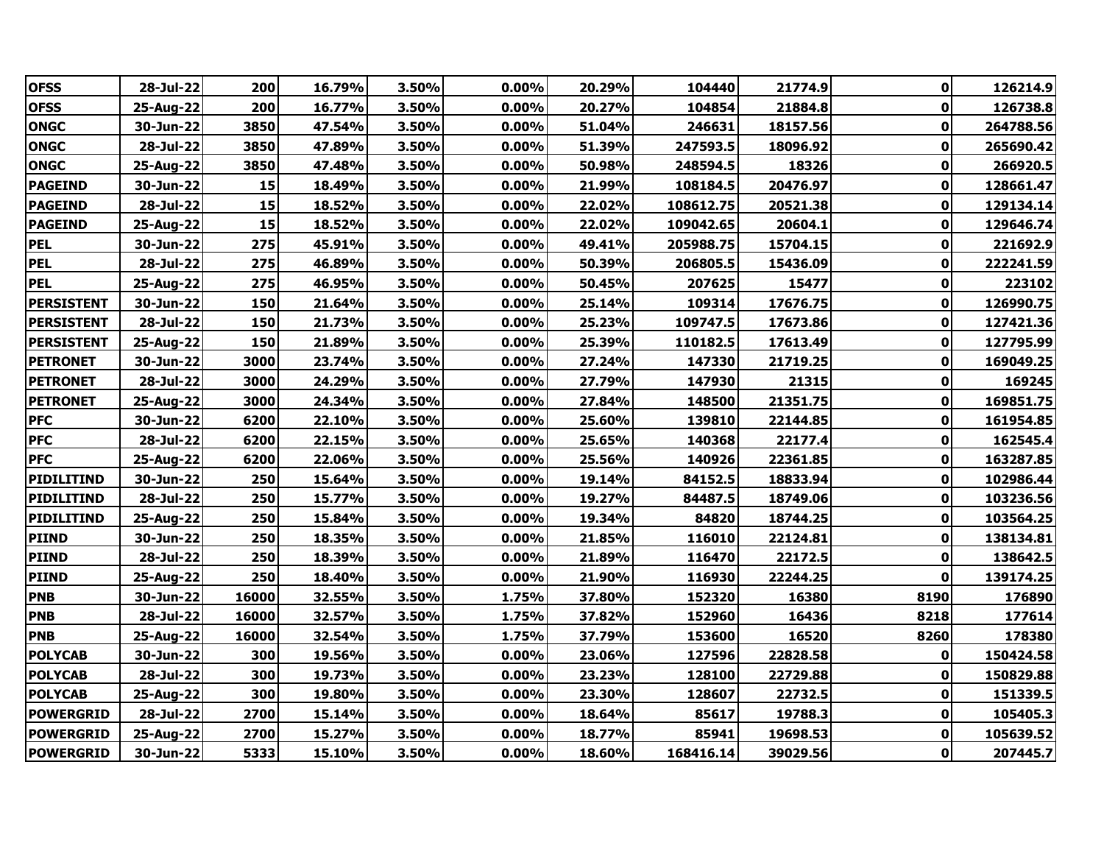| <b>OFSS</b>       | 28-Jul-22 | 200   | 16.79% | 3.50% | 0.00%    | 20.29% | 104440    | 21774.9  | $\mathbf{0}$ | 126214.9  |
|-------------------|-----------|-------|--------|-------|----------|--------|-----------|----------|--------------|-----------|
| <b>OFSS</b>       | 25-Aug-22 | 200   | 16.77% | 3.50% | 0.00%    | 20.27% | 104854    | 21884.8  | $\bf{0}$     | 126738.8  |
| <b>ONGC</b>       | 30-Jun-22 | 3850  | 47.54% | 3.50% | 0.00%    | 51.04% | 246631    | 18157.56 | $\mathbf 0$  | 264788.56 |
| <b>ONGC</b>       | 28-Jul-22 | 3850  | 47.89% | 3.50% | 0.00%    | 51.39% | 247593.5  | 18096.92 | 0            | 265690.42 |
| <b>ONGC</b>       | 25-Aug-22 | 3850  | 47.48% | 3.50% | 0.00%    | 50.98% | 248594.5  | 18326    | 0            | 266920.5  |
| <b>PAGEIND</b>    | 30-Jun-22 | 15    | 18.49% | 3.50% | 0.00%    | 21.99% | 108184.5  | 20476.97 | 0            | 128661.47 |
| <b>PAGEIND</b>    | 28-Jul-22 | 15    | 18.52% | 3.50% | $0.00\%$ | 22.02% | 108612.75 | 20521.38 | 0            | 129134.14 |
| <b>PAGEIND</b>    | 25-Aug-22 | 15    | 18.52% | 3.50% | $0.00\%$ | 22.02% | 109042.65 | 20604.1  | 0            | 129646.74 |
| <b>PEL</b>        | 30-Jun-22 | 275   | 45.91% | 3.50% | 0.00%    | 49.41% | 205988.75 | 15704.15 | $\mathbf 0$  | 221692.9  |
| <b>PEL</b>        | 28-Jul-22 | 275   | 46.89% | 3.50% | $0.00\%$ | 50.39% | 206805.5  | 15436.09 | 0            | 222241.59 |
| <b>PEL</b>        | 25-Aug-22 | 275   | 46.95% | 3.50% | 0.00%    | 50.45% | 207625    | 15477    | $\bf{0}$     | 223102    |
| <b>PERSISTENT</b> | 30-Jun-22 | 150   | 21.64% | 3.50% | 0.00%    | 25.14% | 109314    | 17676.75 | $\mathbf 0$  | 126990.75 |
| <b>PERSISTENT</b> | 28-Jul-22 | 150   | 21.73% | 3.50% | $0.00\%$ | 25.23% | 109747.5  | 17673.86 | $\mathbf 0$  | 127421.36 |
| <b>PERSISTENT</b> | 25-Aug-22 | 150   | 21.89% | 3.50% | $0.00\%$ | 25.39% | 110182.5  | 17613.49 | 0            | 127795.99 |
| <b>PETRONET</b>   | 30-Jun-22 | 3000  | 23.74% | 3.50% | $0.00\%$ | 27.24% | 147330    | 21719.25 | $\bf{0}$     | 169049.25 |
| <b>PETRONET</b>   | 28-Jul-22 | 3000  | 24.29% | 3.50% | $0.00\%$ | 27.79% | 147930    | 21315    | 0            | 169245    |
| <b>PETRONET</b>   | 25-Aug-22 | 3000  | 24.34% | 3.50% | 0.00%    | 27.84% | 148500    | 21351.75 | $\mathbf 0$  | 169851.75 |
| <b>PFC</b>        | 30-Jun-22 | 6200  | 22.10% | 3.50% | 0.00%    | 25.60% | 139810    | 22144.85 | 0            | 161954.85 |
| <b>PFC</b>        | 28-Jul-22 | 6200  | 22.15% | 3.50% | $0.00\%$ | 25.65% | 140368    | 22177.4  | 0            | 162545.4  |
| <b>PFC</b>        | 25-Aug-22 | 6200  | 22.06% | 3.50% | 0.00%    | 25.56% | 140926    | 22361.85 | $\mathbf 0$  | 163287.85 |
| <b>PIDILITIND</b> | 30-Jun-22 | 250   | 15.64% | 3.50% | 0.00%    | 19.14% | 84152.5   | 18833.94 | 0            | 102986.44 |
| PIDILITIND        | 28-Jul-22 | 250   | 15.77% | 3.50% | $0.00\%$ | 19.27% | 84487.5   | 18749.06 | 0            | 103236.56 |
| <b>PIDILITIND</b> | 25-Aug-22 | 250   | 15.84% | 3.50% | 0.00%    | 19.34% | 84820     | 18744.25 | $\mathbf 0$  | 103564.25 |
| <b>PIIND</b>      | 30-Jun-22 | 250   | 18.35% | 3.50% | 0.00%    | 21.85% | 116010    | 22124.81 | $\mathbf 0$  | 138134.81 |
| <b>PIIND</b>      | 28-Jul-22 | 250   | 18.39% | 3.50% | 0.00%    | 21.89% | 116470    | 22172.5  | $\bf{0}$     | 138642.5  |
| <b>PIIND</b>      | 25-Aug-22 | 250   | 18.40% | 3.50% | $0.00\%$ | 21.90% | 116930    | 22244.25 | $\mathbf 0$  | 139174.25 |
| <b>PNB</b>        | 30-Jun-22 | 16000 | 32.55% | 3.50% | 1.75%    | 37.80% | 152320    | 16380    | 8190         | 176890    |
| <b>PNB</b>        | 28-Jul-22 | 16000 | 32.57% | 3.50% | 1.75%    | 37.82% | 152960    | 16436    | 8218         | 177614    |
| <b>PNB</b>        | 25-Aug-22 | 16000 | 32.54% | 3.50% | 1.75%    | 37.79% | 153600    | 16520    | 8260         | 178380    |
| <b>POLYCAB</b>    | 30-Jun-22 | 300   | 19.56% | 3.50% | $0.00\%$ | 23.06% | 127596    | 22828.58 | 0            | 150424.58 |
| <b>POLYCAB</b>    | 28-Jul-22 | 300   | 19.73% | 3.50% | 0.00%    | 23.23% | 128100    | 22729.88 | $\bf{0}$     | 150829.88 |
| <b>POLYCAB</b>    | 25-Aug-22 | 300   | 19.80% | 3.50% | 0.00%    | 23.30% | 128607    | 22732.5  | $\mathbf 0$  | 151339.5  |
| <b>POWERGRID</b>  | 28-Jul-22 | 2700  | 15.14% | 3.50% | 0.00%    | 18.64% | 85617     | 19788.3  | $\mathbf 0$  | 105405.3  |
| <b>POWERGRID</b>  | 25-Aug-22 | 2700  | 15.27% | 3.50% | $0.00\%$ | 18.77% | 85941     | 19698.53 | 0            | 105639.52 |
| <b>POWERGRID</b>  | 30-Jun-22 | 5333  | 15.10% | 3.50% | $0.00\%$ | 18.60% | 168416.14 | 39029.56 | 0            | 207445.7  |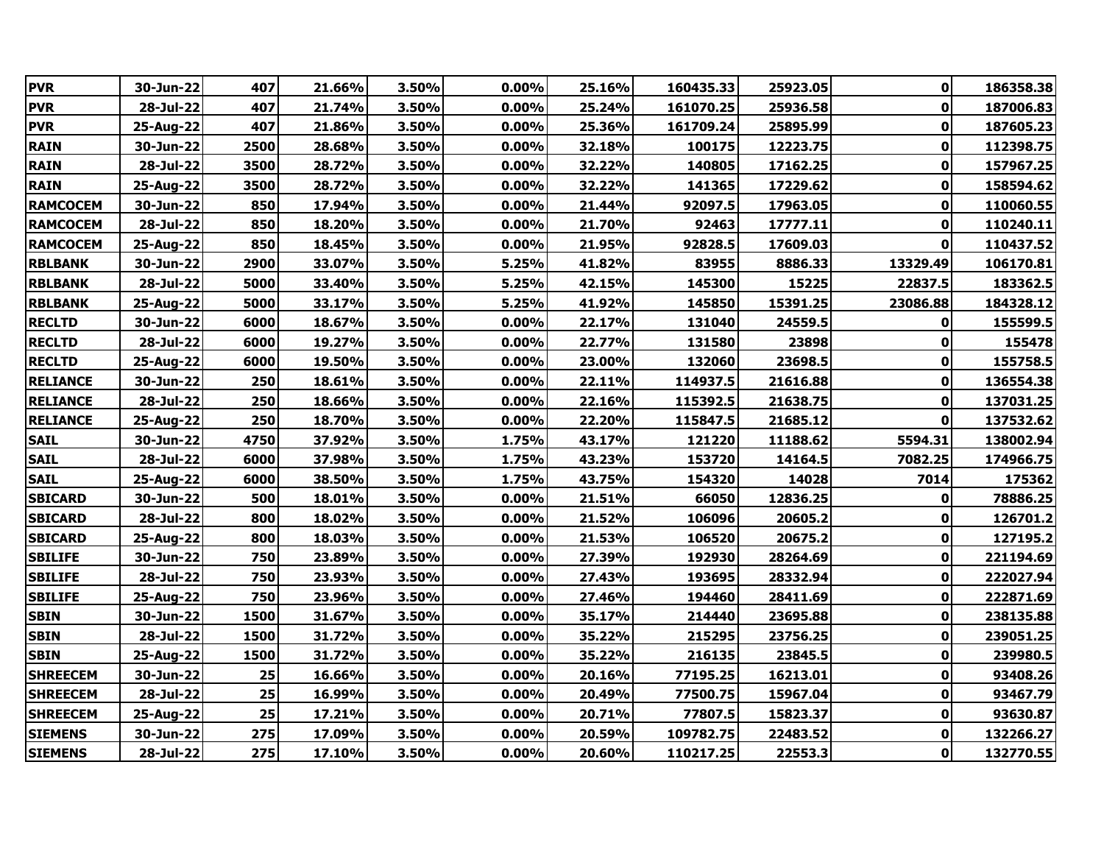| <b>PVR</b>      | 30-Jun-22 | 407  | 21.66% | 3.50% | 0.00%    | 25.16% | 160435.33 | 25923.05 | 0           | 186358.38 |
|-----------------|-----------|------|--------|-------|----------|--------|-----------|----------|-------------|-----------|
| <b>PVR</b>      | 28-Jul-22 | 407  | 21.74% | 3.50% | 0.00%    | 25.24% | 161070.25 | 25936.58 | $\mathbf 0$ | 187006.83 |
| <b>PVR</b>      | 25-Aug-22 | 407  | 21.86% | 3.50% | 0.00%    | 25.36% | 161709.24 | 25895.99 | 0           | 187605.23 |
| <b>RAIN</b>     | 30-Jun-22 | 2500 | 28.68% | 3.50% | 0.00%    | 32.18% | 100175    | 12223.75 | $\bf{0}$    | 112398.75 |
| <b>RAIN</b>     | 28-Jul-22 | 3500 | 28.72% | 3.50% | 0.00%    | 32.22% | 140805    | 17162.25 | $\mathbf 0$ | 157967.25 |
| <b>RAIN</b>     | 25-Aug-22 | 3500 | 28.72% | 3.50% | 0.00%    | 32.22% | 141365    | 17229.62 | 0           | 158594.62 |
| <b>RAMCOCEM</b> | 30-Jun-22 | 850  | 17.94% | 3.50% | $0.00\%$ | 21.44% | 92097.5   | 17963.05 | 0           | 110060.55 |
| <b>RAMCOCEM</b> | 28-Jul-22 | 850  | 18.20% | 3.50% | 0.00%    | 21.70% | 92463     | 17777.11 | 0           | 110240.11 |
| <b>RAMCOCEM</b> | 25-Aug-22 | 850  | 18.45% | 3.50% | 0.00%    | 21.95% | 92828.5   | 17609.03 | $\bf{0}$    | 110437.52 |
| <b>RBLBANK</b>  | 30-Jun-22 | 2900 | 33.07% | 3.50% | 5.25%    | 41.82% | 83955     | 8886.33  | 13329.49    | 106170.81 |
| <b>RBLBANK</b>  | 28-Jul-22 | 5000 | 33.40% | 3.50% | 5.25%    | 42.15% | 145300    | 15225    | 22837.5     | 183362.5  |
| <b>RBLBANK</b>  | 25-Aug-22 | 5000 | 33.17% | 3.50% | 5.25%    | 41.92% | 145850    | 15391.25 | 23086.88    | 184328.12 |
| <b>RECLTD</b>   | 30-Jun-22 | 6000 | 18.67% | 3.50% | 0.00%    | 22.17% | 131040    | 24559.5  | 0           | 155599.5  |
| <b>RECLTD</b>   | 28-Jul-22 | 6000 | 19.27% | 3.50% | 0.00%    | 22.77% | 131580    | 23898    | 0           | 155478    |
| <b>RECLTD</b>   | 25-Aug-22 | 6000 | 19.50% | 3.50% | $0.00\%$ | 23.00% | 132060    | 23698.5  | 0           | 155758.5  |
| <b>RELIANCE</b> | 30-Jun-22 | 250  | 18.61% | 3.50% | $0.00\%$ | 22.11% | 114937.5  | 21616.88 | 0           | 136554.38 |
| <b>RELIANCE</b> | 28-Jul-22 | 250  | 18.66% | 3.50% | 0.00%    | 22.16% | 115392.5  | 21638.75 | $\bf{0}$    | 137031.25 |
| <b>RELIANCE</b> | 25-Aug-22 | 250  | 18.70% | 3.50% | 0.00%    | 22.20% | 115847.5  | 21685.12 | $\bf{0}$    | 137532.62 |
| <b>SAIL</b>     | 30-Jun-22 | 4750 | 37.92% | 3.50% | 1.75%    | 43.17% | 121220    | 11188.62 | 5594.31     | 138002.94 |
| <b>SAIL</b>     | 28-Jul-22 | 6000 | 37.98% | 3.50% | 1.75%    | 43.23% | 153720    | 14164.5  | 7082.25     | 174966.75 |
| <b>SAIL</b>     | 25-Aug-22 | 6000 | 38.50% | 3.50% | 1.75%    | 43.75% | 154320    | 14028    | 7014        | 175362    |
| <b>SBICARD</b>  | 30-Jun-22 | 500  | 18.01% | 3.50% | $0.00\%$ | 21.51% | 66050     | 12836.25 | 0           | 78886.25  |
| <b>SBICARD</b>  | 28-Jul-22 | 800  | 18.02% | 3.50% | $0.00\%$ | 21.52% | 106096    | 20605.2  | 0           | 126701.2  |
| <b>SBICARD</b>  | 25-Aug-22 | 800  | 18.03% | 3.50% | 0.00%    | 21.53% | 106520    | 20675.2  | 0           | 127195.2  |
| <b>SBILIFE</b>  | 30-Jun-22 | 750  | 23.89% | 3.50% | 0.00%    | 27.39% | 192930    | 28264.69 | $\mathbf 0$ | 221194.69 |
| <b>SBILIFE</b>  | 28-Jul-22 | 750  | 23.93% | 3.50% | 0.00%    | 27.43% | 193695    | 28332.94 | $\mathbf 0$ | 222027.94 |
| <b>SBILIFE</b>  | 25-Aug-22 | 750  | 23.96% | 3.50% | 0.00%    | 27.46% | 194460    | 28411.69 | $\mathbf 0$ | 222871.69 |
| <b>SBIN</b>     | 30-Jun-22 | 1500 | 31.67% | 3.50% | 0.00%    | 35.17% | 214440    | 23695.88 | $\mathbf 0$ | 238135.88 |
| <b>SBIN</b>     | 28-Jul-22 | 1500 | 31.72% | 3.50% | $0.00\%$ | 35.22% | 215295    | 23756.25 | 0           | 239051.25 |
| <b>SBIN</b>     | 25-Aug-22 | 1500 | 31.72% | 3.50% | 0.00%    | 35.22% | 216135    | 23845.5  | 0           | 239980.5  |
| <b>SHREECEM</b> | 30-Jun-22 | 25   | 16.66% | 3.50% | $0.00\%$ | 20.16% | 77195.25  | 16213.01 | 0           | 93408.26  |
| <b>SHREECEM</b> | 28-Jul-22 | 25   | 16.99% | 3.50% | 0.00%    | 20.49% | 77500.75  | 15967.04 | $\mathbf 0$ | 93467.79  |
| <b>SHREECEM</b> | 25-Aug-22 | 25   | 17.21% | 3.50% | 0.00%    | 20.71% | 77807.5   | 15823.37 | $\mathbf 0$ | 93630.87  |
| <b>SIEMENS</b>  | 30-Jun-22 | 275  | 17.09% | 3.50% | 0.00%    | 20.59% | 109782.75 | 22483.52 | $\bf{0}$    | 132266.27 |
| <b>SIEMENS</b>  | 28-Jul-22 | 275  | 17.10% | 3.50% | 0.00%    | 20.60% | 110217.25 | 22553.3  | 0           | 132770.55 |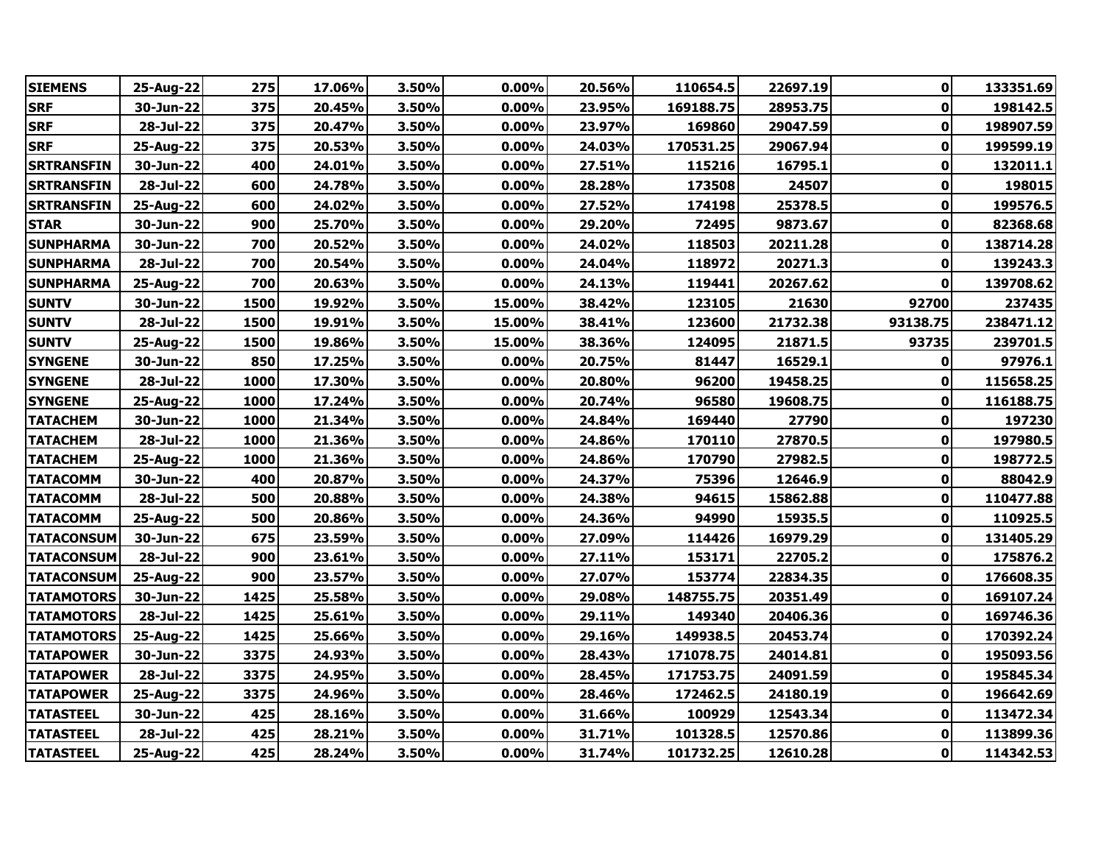| <b>SIEMENS</b>    | 25-Aug-22 | 275  | 17.06% | 3.50% | 0.00%    | 20.56% | 110654.5  | 22697.19 | 0           | 133351.69 |
|-------------------|-----------|------|--------|-------|----------|--------|-----------|----------|-------------|-----------|
| <b>SRF</b>        | 30-Jun-22 | 375  | 20.45% | 3.50% | 0.00%    | 23.95% | 169188.75 | 28953.75 | $\mathbf 0$ | 198142.5  |
| <b>SRF</b>        | 28-Jul-22 | 375  | 20.47% | 3.50% | 0.00%    | 23.97% | 169860    | 29047.59 | 0           | 198907.59 |
| <b>SRF</b>        | 25-Aug-22 | 375  | 20.53% | 3.50% | 0.00%    | 24.03% | 170531.25 | 29067.94 | 0           | 199599.19 |
| <b>SRTRANSFIN</b> | 30-Jun-22 | 400  | 24.01% | 3.50% | 0.00%    | 27.51% | 115216    | 16795.1  | $\mathbf 0$ | 132011.1  |
| <b>SRTRANSFIN</b> | 28-Jul-22 | 600  | 24.78% | 3.50% | 0.00%    | 28.28% | 173508    | 24507    | 0           | 198015    |
| <b>SRTRANSFIN</b> | 25-Aug-22 | 600  | 24.02% | 3.50% | 0.00%    | 27.52% | 174198    | 25378.5  | 0           | 199576.5  |
| <b>STAR</b>       | 30-Jun-22 | 900  | 25.70% | 3.50% | 0.00%    | 29.20% | 72495     | 9873.67  | $\mathbf 0$ | 82368.68  |
| <b>SUNPHARMA</b>  | 30-Jun-22 | 700  | 20.52% | 3.50% | 0.00%    | 24.02% | 118503    | 20211.28 | $\mathbf 0$ | 138714.28 |
| <b>SUNPHARMA</b>  | 28-Jul-22 | 700  | 20.54% | 3.50% | 0.00%    | 24.04% | 118972    | 20271.3  | $\mathbf 0$ | 139243.3  |
| <b>SUNPHARMA</b>  | 25-Aug-22 | 700  | 20.63% | 3.50% | 0.00%    | 24.13% | 119441    | 20267.62 | $\bf{0}$    | 139708.62 |
| <b>SUNTV</b>      | 30-Jun-22 | 1500 | 19.92% | 3.50% | 15.00%   | 38.42% | 123105    | 21630    | 92700       | 237435    |
| <b>SUNTV</b>      | 28-Jul-22 | 1500 | 19.91% | 3.50% | 15.00%   | 38.41% | 123600    | 21732.38 | 93138.75    | 238471.12 |
| <b>SUNTV</b>      | 25-Aug-22 | 1500 | 19.86% | 3.50% | 15.00%   | 38.36% | 124095    | 21871.5  | 93735       | 239701.5  |
| <b>SYNGENE</b>    | 30-Jun-22 | 850  | 17.25% | 3.50% | 0.00%    | 20.75% | 81447     | 16529.1  | 0           | 97976.1   |
| <b>SYNGENE</b>    | 28-Jul-22 | 1000 | 17.30% | 3.50% | $0.00\%$ | 20.80% | 96200     | 19458.25 | 0           | 115658.25 |
| <b>SYNGENE</b>    | 25-Aug-22 | 1000 | 17.24% | 3.50% | 0.00%    | 20.74% | 96580     | 19608.75 | 0           | 116188.75 |
| <b>TATACHEM</b>   | 30-Jun-22 | 1000 | 21.34% | 3.50% | $0.00\%$ | 24.84% | 169440    | 27790    | 0           | 197230    |
| <b>TATACHEM</b>   | 28-Jul-22 | 1000 | 21.36% | 3.50% | 0.00%    | 24.86% | 170110    | 27870.5  | 0           | 197980.5  |
| <b>TATACHEM</b>   | 25-Aug-22 | 1000 | 21.36% | 3.50% | 0.00%    | 24.86% | 170790    | 27982.5  | $\mathbf 0$ | 198772.5  |
| <b>TATACOMM</b>   | 30-Jun-22 | 400  | 20.87% | 3.50% | 0.00%    | 24.37% | 75396     | 12646.9  | 0           | 88042.9   |
| <b>TATACOMM</b>   | 28-Jul-22 | 500  | 20.88% | 3.50% | 0.00%    | 24.38% | 94615     | 15862.88 | 0           | 110477.88 |
| <b>TATACOMM</b>   | 25-Aug-22 | 500  | 20.86% | 3.50% | $0.00\%$ | 24.36% | 94990     | 15935.5  | $\mathbf 0$ | 110925.5  |
| <b>TATACONSUM</b> | 30-Jun-22 | 675  | 23.59% | 3.50% | 0.00%    | 27.09% | 114426    | 16979.29 | $\mathbf 0$ | 131405.29 |
| <b>TATACONSUM</b> | 28-Jul-22 | 900  | 23.61% | 3.50% | 0.00%    | 27.11% | 153171    | 22705.2  | $\mathbf 0$ | 175876.2  |
| <b>TATACONSUM</b> | 25-Aug-22 | 900  | 23.57% | 3.50% | 0.00%    | 27.07% | 153774    | 22834.35 | $\mathbf 0$ | 176608.35 |
| <b>TATAMOTORS</b> | 30-Jun-22 | 1425 | 25.58% | 3.50% | 0.00%    | 29.08% | 148755.75 | 20351.49 | $\pmb{0}$   | 169107.24 |
| <b>TATAMOTORS</b> | 28-Jul-22 | 1425 | 25.61% | 3.50% | 0.00%    | 29.11% | 149340    | 20406.36 | 0           | 169746.36 |
| <b>TATAMOTORS</b> | 25-Aug-22 | 1425 | 25.66% | 3.50% | 0.00%    | 29.16% | 149938.5  | 20453.74 | 0           | 170392.24 |
| <b>TATAPOWER</b>  | 30-Jun-22 | 3375 | 24.93% | 3.50% | 0.00%    | 28.43% | 171078.75 | 24014.81 | 0           | 195093.56 |
| <b>TATAPOWER</b>  | 28-Jul-22 | 3375 | 24.95% | 3.50% | $0.00\%$ | 28.45% | 171753.75 | 24091.59 | 0           | 195845.34 |
| <b>TATAPOWER</b>  | 25-Aug-22 | 3375 | 24.96% | 3.50% | 0.00%    | 28.46% | 172462.5  | 24180.19 | 0           | 196642.69 |
| <b>TATASTEEL</b>  | 30-Jun-22 | 425  | 28.16% | 3.50% | 0.00%    | 31.66% | 100929    | 12543.34 | 0           | 113472.34 |
| <b>TATASTEEL</b>  | 28-Jul-22 | 425  | 28.21% | 3.50% | 0.00%    | 31.71% | 101328.5  | 12570.86 | 0           | 113899.36 |
| <b>TATASTEEL</b>  | 25-Aug-22 | 425  | 28.24% | 3.50% | 0.00%    | 31.74% | 101732.25 | 12610.28 | 0           | 114342.53 |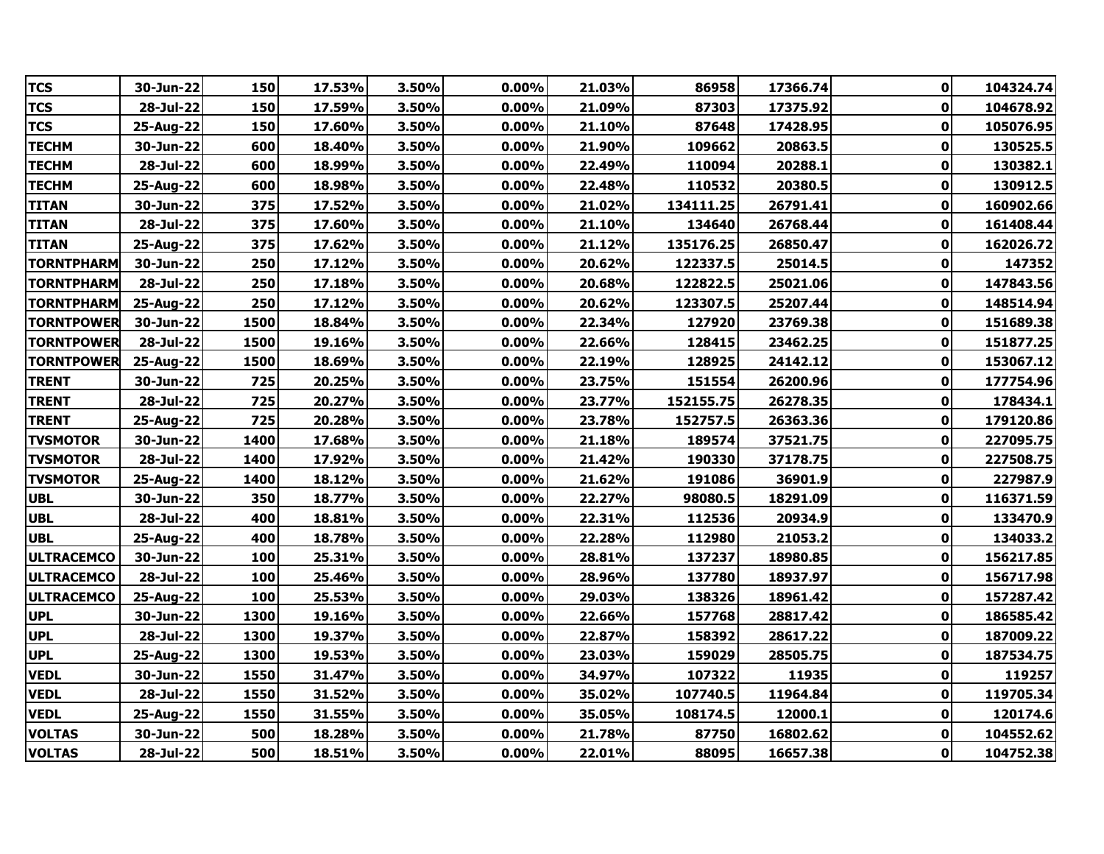| <b>TCS</b>        | 30-Jun-22 | 150  | 17.53% | 3.50% | 0.00%    | 21.03% | 86958     | 17366.74 | 0            | 104324.74 |
|-------------------|-----------|------|--------|-------|----------|--------|-----------|----------|--------------|-----------|
| <b>TCS</b>        | 28-Jul-22 | 150  | 17.59% | 3.50% | 0.00%    | 21.09% | 87303     | 17375.92 | $\mathbf 0$  | 104678.92 |
| <b>TCS</b>        | 25-Aug-22 | 150  | 17.60% | 3.50% | $0.00\%$ | 21.10% | 87648     | 17428.95 | 0            | 105076.95 |
| <b>TECHM</b>      | 30-Jun-22 | 600  | 18.40% | 3.50% | 0.00%    | 21.90% | 109662    | 20863.5  | 0            | 130525.5  |
| <b>TECHM</b>      | 28-Jul-22 | 600  | 18.99% | 3.50% | 0.00%    | 22.49% | 110094    | 20288.1  | $\mathbf 0$  | 130382.1  |
| <b>TECHM</b>      | 25-Aug-22 | 600  | 18.98% | 3.50% | 0.00%    | 22.48% | 110532    | 20380.5  | 0            | 130912.5  |
| <b>TITAN</b>      | 30-Jun-22 | 375  | 17.52% | 3.50% | $0.00\%$ | 21.02% | 134111.25 | 26791.41 | $\mathbf 0$  | 160902.66 |
| <b>TITAN</b>      | 28-Jul-22 | 375  | 17.60% | 3.50% | 0.00%    | 21.10% | 134640    | 26768.44 | $\bf{0}$     | 161408.44 |
| <b>TITAN</b>      | 25-Aug-22 | 375  | 17.62% | 3.50% | 0.00%    | 21.12% | 135176.25 | 26850.47 | $\mathbf 0$  | 162026.72 |
| <b>TORNTPHARM</b> | 30-Jun-22 | 250  | 17.12% | 3.50% | 0.00%    | 20.62% | 122337.5  | 25014.5  | $\mathbf 0$  | 147352    |
| <b>TORNTPHARM</b> | 28-Jul-22 | 250  | 17.18% | 3.50% | 0.00%    | 20.68% | 122822.5  | 25021.06 | $\mathbf 0$  | 147843.56 |
| <b>TORNTPHARM</b> | 25-Aug-22 | 250  | 17.12% | 3.50% | 0.00%    | 20.62% | 123307.5  | 25207.44 | $\mathbf 0$  | 148514.94 |
| <b>TORNTPOWER</b> | 30-Jun-22 | 1500 | 18.84% | 3.50% | 0.00%    | 22.34% | 127920    | 23769.38 | $\pmb{0}$    | 151689.38 |
| <b>TORNTPOWER</b> | 28-Jul-22 | 1500 | 19.16% | 3.50% | $0.00\%$ | 22.66% | 128415    | 23462.25 | 0            | 151877.25 |
| <b>TORNTPOWER</b> | 25-Aug-22 | 1500 | 18.69% | 3.50% | $0.00\%$ | 22.19% | 128925    | 24142.12 | 0            | 153067.12 |
| <b>TRENT</b>      | 30-Jun-22 | 725  | 20.25% | 3.50% | 0.00%    | 23.75% | 151554    | 26200.96 | 0            | 177754.96 |
| <b>TRENT</b>      | 28-Jul-22 | 725  | 20.27% | 3.50% | 0.00%    | 23.77% | 152155.75 | 26278.35 | $\bf{0}$     | 178434.1  |
| <b>TRENT</b>      | 25-Aug-22 | 725  | 20.28% | 3.50% | 0.00%    | 23.78% | 152757.5  | 26363.36 | $\mathbf 0$  | 179120.86 |
| <b>TVSMOTOR</b>   | 30-Jun-22 | 1400 | 17.68% | 3.50% | 0.00%    | 21.18% | 189574    | 37521.75 | $\bf{0}$     | 227095.75 |
| <b>TVSMOTOR</b>   | 28-Jul-22 | 1400 | 17.92% | 3.50% | $0.00\%$ | 21.42% | 190330    | 37178.75 | 0            | 227508.75 |
| <b>TVSMOTOR</b>   | 25-Aug-22 | 1400 | 18.12% | 3.50% | 0.00%    | 21.62% | 191086    | 36901.9  | 0            | 227987.9  |
| <b>UBL</b>        | 30-Jun-22 | 350  | 18.77% | 3.50% | 0.00%    | 22.27% | 98080.5   | 18291.09 | $\mathbf 0$  | 116371.59 |
| <b>UBL</b>        | 28-Jul-22 | 400  | 18.81% | 3.50% | 0.00%    | 22.31% | 112536    | 20934.9  | 0            | 133470.9  |
| <b>UBL</b>        | 25-Aug-22 | 400  | 18.78% | 3.50% | 0.00%    | 22.28% | 112980    | 21053.2  | $\mathbf 0$  | 134033.2  |
| <b>ULTRACEMCO</b> | 30-Jun-22 | 100  | 25.31% | 3.50% | 0.00%    | 28.81% | 137237    | 18980.85 | $\mathbf 0$  | 156217.85 |
| <b>ULTRACEMCO</b> | 28-Jul-22 | 100  | 25.46% | 3.50% | $0.00\%$ | 28.96% | 137780    | 18937.97 | $\mathbf 0$  | 156717.98 |
| <b>ULTRACEMCO</b> | 25-Aug-22 | 100  | 25.53% | 3.50% | 0.00%    | 29.03% | 138326    | 18961.42 | 0            | 157287.42 |
| <b>UPL</b>        | 30-Jun-22 | 1300 | 19.16% | 3.50% | $0.00\%$ | 22.66% | 157768    | 28817.42 | $\pmb{0}$    | 186585.42 |
| <b>UPL</b>        | 28-Jul-22 | 1300 | 19.37% | 3.50% | 0.00%    | 22.87% | 158392    | 28617.22 | 0            | 187009.22 |
| <b>UPL</b>        | 25-Aug-22 | 1300 | 19.53% | 3.50% | 0.00%    | 23.03% | 159029    | 28505.75 | $\mathbf 0$  | 187534.75 |
| <b>VEDL</b>       | 30-Jun-22 | 1550 | 31.47% | 3.50% | $0.00\%$ | 34.97% | 107322    | 11935    | 0            | 119257    |
| <b>VEDL</b>       | 28-Jul-22 | 1550 | 31.52% | 3.50% | 0.00%    | 35.02% | 107740.5  | 11964.84 | 0            | 119705.34 |
| <b>VEDL</b>       | 25-Aug-22 | 1550 | 31.55% | 3.50% | 0.00%    | 35.05% | 108174.5  | 12000.1  | $\mathbf 0$  | 120174.6  |
| <b>VOLTAS</b>     | 30-Jun-22 | 500  | 18.28% | 3.50% | $0.00\%$ | 21.78% | 87750     | 16802.62 | 0            | 104552.62 |
| <b>VOLTAS</b>     | 28-Jul-22 | 500  | 18.51% | 3.50% | $0.00\%$ | 22.01% | 88095     | 16657.38 | $\mathbf{0}$ | 104752.38 |